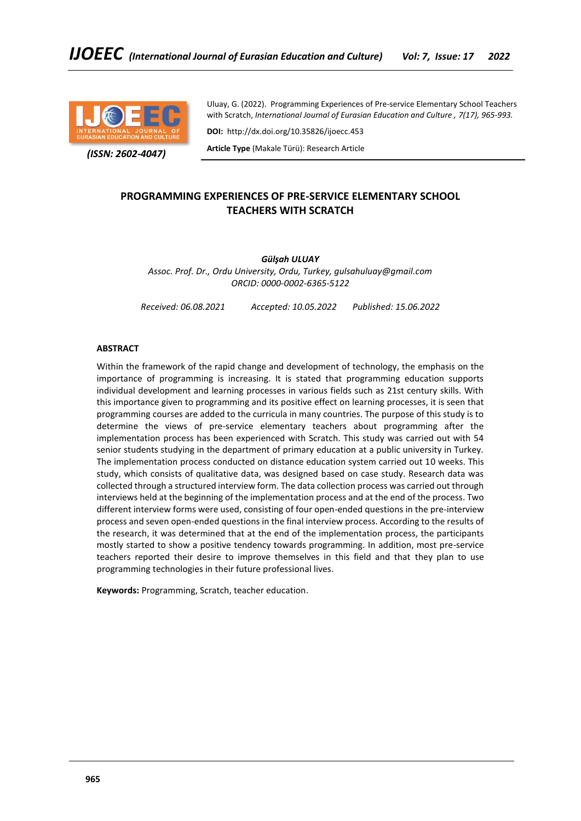

 *(ISSN: 2602-4047)*

Uluay, G. (2022). Programming Experiences of Pre-service Elementary School Teachers with Scratch, *International Journal of Eurasian Education and Culture , 7(17), 965-993.*

**DOI:** http://dx.doi.org/10.35826/ijoecc.453

**Article Type** (Makale Türü): Research Article

# **PROGRAMMING EXPERIENCES OF PRE-SERVICE ELEMENTARY SCHOOL TEACHERS WITH SCRATCH**

*Gülşah ULUAY*

*Assoc. Prof. Dr., Ordu University, Ordu, Turkey, gulsahuluay@gmail.com ORCID: 0000-0002-6365-5122*

*Received: 06.08.2021 Accepted: 10.05.2022 Published: 15.06.2022*

# **ABSTRACT**

Within the framework of the rapid change and development of technology, the emphasis on the importance of programming is increasing. It is stated that programming education supports individual development and learning processes in various fields such as 21st century skills. With this importance given to programming and its positive effect on learning processes, it is seen that programming courses are added to the curricula in many countries. The purpose of this study is to determine the views of pre-service elementary teachers about programming after the implementation process has been experienced with Scratch. This study was carried out with 54 senior students studying in the department of primary education at a public university in Turkey. The implementation process conducted on distance education system carried out 10 weeks. This study, which consists of qualitative data, was designed based on case study. Research data was collected through a structured interview form. The data collection process was carried out through interviews held at the beginning of the implementation process and at the end of the process. Two different interview forms were used, consisting of four open-ended questions in the pre-interview process and seven open-ended questions in the final interview process. According to the results of the research, it was determined that at the end of the implementation process, the participants mostly started to show a positive tendency towards programming. In addition, most pre-service teachers reported their desire to improve themselves in this field and that they plan to use programming technologies in their future professional lives.

**Keywords:** Programming, Scratch, teacher education.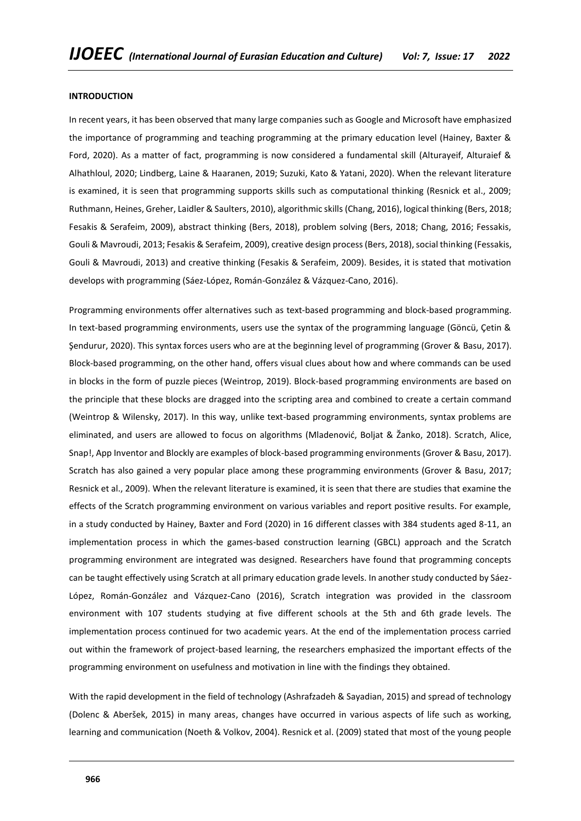#### **INTRODUCTION**

In recent years, it has been observed that many large companies such as Google and Microsoft have emphasized the importance of programming and teaching programming at the primary education level (Hainey, Baxter & Ford, 2020). As a matter of fact, programming is now considered a fundamental skill (Alturayeif, Alturaief & Alhathloul, 2020; Lindberg, Laine & Haaranen, 2019; Suzuki, Kato & Yatani, 2020). When the relevant literature is examined, it is seen that programming supports skills such as computational thinking (Resnick et al., 2009; Ruthmann, Heines, Greher, Laidler & Saulters, 2010), algorithmic skills (Chang, 2016), logical thinking (Bers, 2018; Fesakis & Serafeim, 2009), abstract thinking (Bers, 2018), problem solving (Bers, 2018; Chang, 2016; Fessakis, Gouli & Mavroudi, 2013; Fesakis & Serafeim, 2009), creative design process (Bers, 2018), social thinking (Fessakis, Gouli & Mavroudi, 2013) and creative thinking (Fesakis & Serafeim, 2009). Besides, it is stated that motivation develops with programming (Sáez-López, Román-González & Vázquez-Cano, 2016).

Programming environments offer alternatives such as text-based programming and block-based programming. In text-based programming environments, users use the syntax of the programming language (Göncü, Çetin & Şendurur, 2020). This syntax forces users who are at the beginning level of programming (Grover & Basu, 2017). Block-based programming, on the other hand, offers visual clues about how and where commands can be used in blocks in the form of puzzle pieces (Weintrop, 2019). Block-based programming environments are based on the principle that these blocks are dragged into the scripting area and combined to create a certain command (Weintrop & Wilensky, 2017). In this way, unlike text-based programming environments, syntax problems are eliminated, and users are allowed to focus on algorithms (Mladenović, Boljat & Žanko, 2018). Scratch, Alice, Snap!, App Inventor and Blockly are examples of block-based programming environments (Grover & Basu, 2017). Scratch has also gained a very popular place among these programming environments (Grover & Basu, 2017; Resnick et al., 2009). When the relevant literature is examined, it is seen that there are studies that examine the effects of the Scratch programming environment on various variables and report positive results. For example, in a study conducted by Hainey, Baxter and Ford (2020) in 16 different classes with 384 students aged 8-11, an implementation process in which the games-based construction learning (GBCL) approach and the Scratch programming environment are integrated was designed. Researchers have found that programming concepts can be taught effectively using Scratch at all primary education grade levels. In another study conducted by Sáez-López, Román-González and Vázquez-Cano (2016), Scratch integration was provided in the classroom environment with 107 students studying at five different schools at the 5th and 6th grade levels. The implementation process continued for two academic years. At the end of the implementation process carried out within the framework of project-based learning, the researchers emphasized the important effects of the programming environment on usefulness and motivation in line with the findings they obtained.

With the rapid development in the field of technology (Ashrafzadeh & Sayadian, 2015) and spread of technology (Dolenc & Aberšek, 2015) in many areas, changes have occurred in various aspects of life such as working, learning and communication (Noeth & Volkov, 2004). Resnick et al. (2009) stated that most of the young people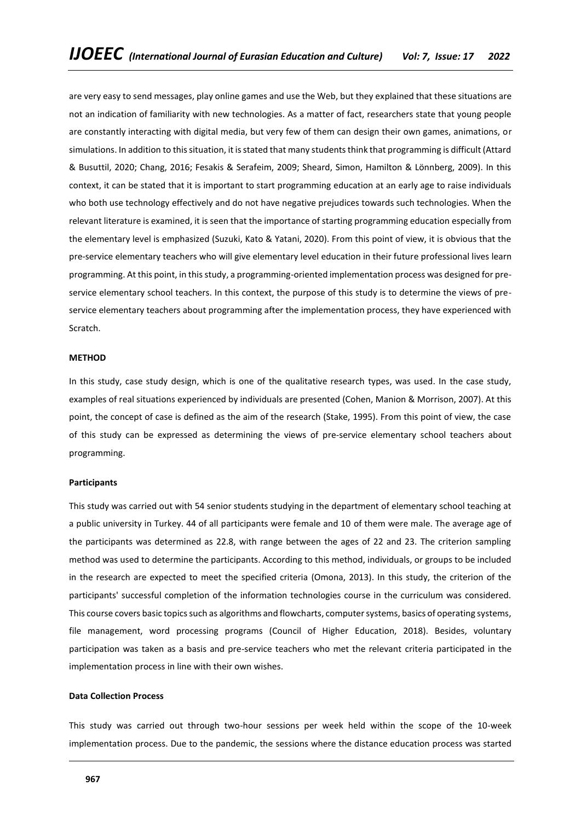are very easy to send messages, play online games and use the Web, but they explained that these situations are not an indication of familiarity with new technologies. As a matter of fact, researchers state that young people are constantly interacting with digital media, but very few of them can design their own games, animations, or simulations. In addition to this situation, it is stated that many students think that programming is difficult (Attard & Busuttil, 2020; Chang, 2016; Fesakis & Serafeim, 2009; Sheard, Simon, Hamilton & Lönnberg, 2009). In this context, it can be stated that it is important to start programming education at an early age to raise individuals who both use technology effectively and do not have negative prejudices towards such technologies. When the relevant literature is examined, it is seen that the importance of starting programming education especially from the elementary level is emphasized (Suzuki, Kato & Yatani, 2020). From this point of view, it is obvious that the pre-service elementary teachers who will give elementary level education in their future professional lives learn programming. At this point, in this study, a programming-oriented implementation process was designed for preservice elementary school teachers. In this context, the purpose of this study is to determine the views of preservice elementary teachers about programming after the implementation process, they have experienced with Scratch.

#### **METHOD**

In this study, case study design, which is one of the qualitative research types, was used. In the case study, examples of real situations experienced by individuals are presented (Cohen, Manion & Morrison, 2007). At this point, the concept of case is defined as the aim of the research (Stake, 1995). From this point of view, the case of this study can be expressed as determining the views of pre-service elementary school teachers about programming.

#### **Participants**

This study was carried out with 54 senior students studying in the department of elementary school teaching at a public university in Turkey. 44 of all participants were female and 10 of them were male. The average age of the participants was determined as 22.8, with range between the ages of 22 and 23. The criterion sampling method was used to determine the participants. According to this method, individuals, or groups to be included in the research are expected to meet the specified criteria (Omona, 2013). In this study, the criterion of the participants' successful completion of the information technologies course in the curriculum was considered. This course covers basic topics such as algorithms and flowcharts, computer systems, basics of operating systems, file management, word processing programs (Council of Higher Education, 2018). Besides, voluntary participation was taken as a basis and pre-service teachers who met the relevant criteria participated in the implementation process in line with their own wishes.

#### **Data Collection Process**

This study was carried out through two-hour sessions per week held within the scope of the 10-week implementation process. Due to the pandemic, the sessions where the distance education process was started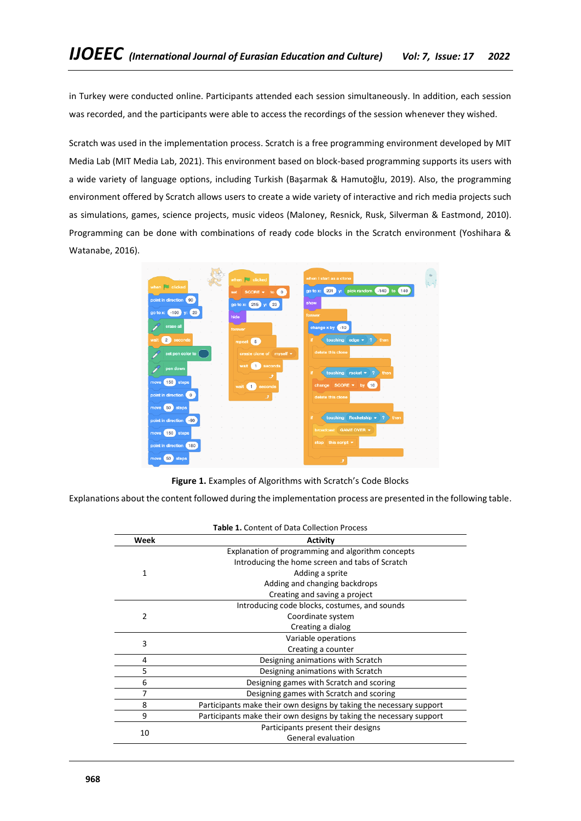in Turkey were conducted online. Participants attended each session simultaneously. In addition, each session was recorded, and the participants were able to access the recordings of the session whenever they wished.

Scratch was used in the implementation process. Scratch is a free programming environment developed by MIT Media Lab (MIT Media Lab, 2021). This environment based on block-based programming supports its users with a wide variety of language options, including Turkish (Başarmak & Hamutoğlu, 2019). Also, the programming environment offered by Scratch allows users to create a wide variety of interactive and rich media projects such as simulations, games, science projects, music videos (Maloney, Resnick, Rusk, Silverman & Eastmond, 2010). Programming can be done with combinations of ready code blocks in the Scratch environment (Yoshihara & Watanabe, 2016).



Figure 1. Examples of Algorithms with Scratch's Code Blocks

Explanations about the content followed during the implementation process are presented in the following table.

| <b>Table 1.</b> Content of Data Collection Process |                                                                     |  |  |
|----------------------------------------------------|---------------------------------------------------------------------|--|--|
| Week                                               | <b>Activity</b>                                                     |  |  |
|                                                    | Explanation of programming and algorithm concepts                   |  |  |
|                                                    | Introducing the home screen and tabs of Scratch                     |  |  |
| 1                                                  | Adding a sprite                                                     |  |  |
|                                                    | Adding and changing backdrops                                       |  |  |
|                                                    | Creating and saving a project                                       |  |  |
|                                                    | Introducing code blocks, costumes, and sounds                       |  |  |
| 2                                                  | Coordinate system                                                   |  |  |
|                                                    | Creating a dialog                                                   |  |  |
| 3                                                  | Variable operations                                                 |  |  |
|                                                    | Creating a counter                                                  |  |  |
| 4                                                  | Designing animations with Scratch                                   |  |  |
| 5                                                  | Designing animations with Scratch                                   |  |  |
| 6                                                  | Designing games with Scratch and scoring                            |  |  |
| 7                                                  | Designing games with Scratch and scoring                            |  |  |
| 8                                                  | Participants make their own designs by taking the necessary support |  |  |
| 9                                                  | Participants make their own designs by taking the necessary support |  |  |
| 10                                                 | Participants present their designs                                  |  |  |
|                                                    | General evaluation                                                  |  |  |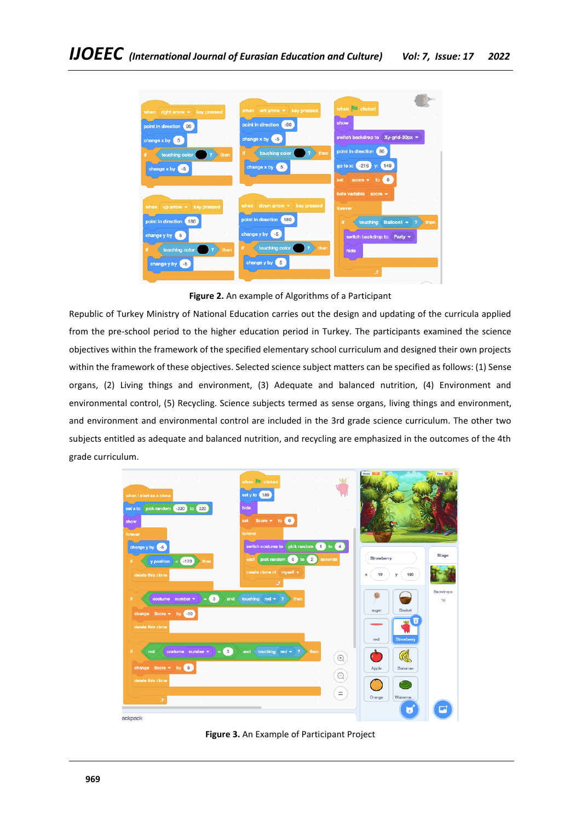

**Figure 2.** An example of Algorithms of a Participant

Republic of Turkey Ministry of National Education carries out the design and updating of the curricula applied from the pre-school period to the higher education period in Turkey. The participants examined the science objectives within the framework of the specified elementary school curriculum and designed their own projects within the framework of these objectives. Selected science subject matters can be specified as follows: (1) Sense organs, (2) Living things and environment, (3) Adequate and balanced nutrition, (4) Environment and environmental control, (5) Recycling. Science subjects termed as sense organs, living things and environment, and environment and environmental control are included in the 3rd grade science curriculum. The other two subjects entitled as adequate and balanced nutrition, and recycling are emphasized in the outcomes of the 4th grade curriculum.



**Figure 3.** An Example of Participant Project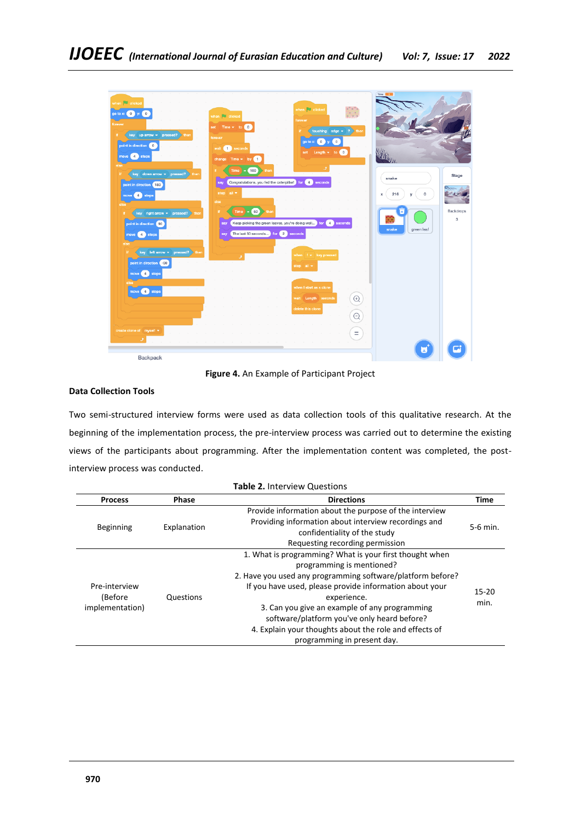| when $\Box$ clicked<br>go to x: $\begin{pmatrix} 0 \\ y \end{pmatrix}$ y: $\begin{pmatrix} 0 \\ 0 \end{pmatrix}$<br>when <b>D</b> clicked<br>forever<br>set Time $\star$ to $\begin{pmatrix} 0 \\ 0 \end{pmatrix}$<br>key up arrow = pressed? then<br>H.<br>forever<br>point in direction 0<br>wait 1 seconds<br>move 4 steps<br>change $Time \rightarrow by$<br>else                   | when clicked<br>S.<br>forever<br>touching edge $\star$ ? then<br>Ħ.<br>go to x: $(0)$ y:<br>$\sqrt{2}$<br>set Length = to 0                       | Time                                                 |                                  |
|-----------------------------------------------------------------------------------------------------------------------------------------------------------------------------------------------------------------------------------------------------------------------------------------------------------------------------------------------------------------------------------------|---------------------------------------------------------------------------------------------------------------------------------------------------|------------------------------------------------------|----------------------------------|
| $Time = 100$<br>if.<br>then<br>key down arrow = pressed?<br>H.<br>then<br>Congratulations, you fed the caterpillar! for 4 seconds<br><b>Bay</b><br>point in direction (180<br>stop all =<br>move (4) steps<br>else<br>else<br>Time $= 50$ then<br>H.<br>key right arrow v pressed? then<br>Ħ<br>say<br>point in direction (90)<br>say The last 50 seconds for 2 seconds<br>move 4 steps | و<br>Keep picking the green leaves, you're doing well for 4 seconds                                                                               | snake<br>216<br>0<br>x<br>CG.<br>snake<br>green leaf | Stage<br>Backdrops<br>$^{\rm 3}$ |
| else<br>key left arrow = pressed? then<br>Ħ<br>و<br>point in direction (-90<br>move 4 steps<br>move 4 steps<br>create clone of myself *<br>J.                                                                                                                                                                                                                                           | when $f - k$ key pressed<br>stop all +<br>when I start as a clone<br>wait Length seconds<br>$^{(+)}$<br>delete this clone<br>$\Theta$<br>$\equiv$ |                                                      |                                  |

**Figure 4.** An Example of Participant Project

# **Data Collection Tools**

Two semi-structured interview forms were used as data collection tools of this qualitative research. At the beginning of the implementation process, the pre-interview process was carried out to determine the existing views of the participants about programming. After the implementation content was completed, the postinterview process was conducted.

| <b>Table 2. Interview Questions</b>         |                  |                                                                                                                                                                                                                                                                                                                                                                                                                       |                   |
|---------------------------------------------|------------------|-----------------------------------------------------------------------------------------------------------------------------------------------------------------------------------------------------------------------------------------------------------------------------------------------------------------------------------------------------------------------------------------------------------------------|-------------------|
| <b>Process</b>                              | <b>Phase</b>     | <b>Directions</b>                                                                                                                                                                                                                                                                                                                                                                                                     | Time              |
| <b>Beginning</b>                            | Explanation      | Provide information about the purpose of the interview<br>Providing information about interview recordings and<br>confidentiality of the study<br>Requesting recording permission                                                                                                                                                                                                                                     | $5-6$ min.        |
| Pre-interview<br>(Before<br>implementation) | <b>Questions</b> | 1. What is programming? What is your first thought when<br>programming is mentioned?<br>2. Have you used any programming software/platform before?<br>If you have used, please provide information about your<br>experience.<br>3. Can you give an example of any programming<br>software/platform you've only heard before?<br>4. Explain your thoughts about the role and effects of<br>programming in present day. | $15 - 20$<br>min. |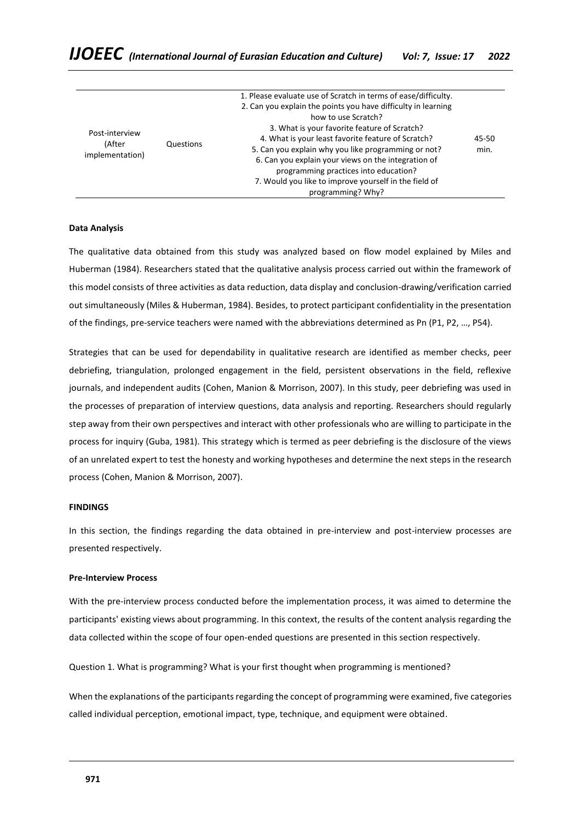| Post-interview<br>(After<br>implementation) | Questions | 1. Please evaluate use of Scratch in terms of ease/difficulty.<br>2. Can you explain the points you have difficulty in learning<br>how to use Scratch?<br>3. What is your favorite feature of Scratch?<br>4. What is your least favorite feature of Scratch?<br>5. Can you explain why you like programming or not?<br>6. Can you explain your views on the integration of | 45-50<br>min. |
|---------------------------------------------|-----------|----------------------------------------------------------------------------------------------------------------------------------------------------------------------------------------------------------------------------------------------------------------------------------------------------------------------------------------------------------------------------|---------------|
|                                             |           | programming practices into education?                                                                                                                                                                                                                                                                                                                                      |               |
|                                             |           | 7. Would you like to improve yourself in the field of<br>programming? Why?                                                                                                                                                                                                                                                                                                 |               |

#### **Data Analysis**

The qualitative data obtained from this study was analyzed based on flow model explained by Miles and Huberman (1984). Researchers stated that the qualitative analysis process carried out within the framework of this model consists of three activities as data reduction, data display and conclusion-drawing/verification carried out simultaneously (Miles & Huberman, 1984). Besides, to protect participant confidentiality in the presentation of the findings, pre-service teachers were named with the abbreviations determined as Pn (P1, P2, …, P54).

Strategies that can be used for dependability in qualitative research are identified as member checks, peer debriefing, triangulation, prolonged engagement in the field, persistent observations in the field, reflexive journals, and independent audits (Cohen, Manion & Morrison, 2007). In this study, peer debriefing was used in the processes of preparation of interview questions, data analysis and reporting. Researchers should regularly step away from their own perspectives and interact with other professionals who are willing to participate in the process for inquiry (Guba, 1981). This strategy which is termed as peer debriefing is the disclosure of the views of an unrelated expert to test the honesty and working hypotheses and determine the next steps in the research process (Cohen, Manion & Morrison, 2007).

# **FINDINGS**

In this section, the findings regarding the data obtained in pre-interview and post-interview processes are presented respectively.

#### **Pre-Interview Process**

With the pre-interview process conducted before the implementation process, it was aimed to determine the participants' existing views about programming. In this context, the results of the content analysis regarding the data collected within the scope of four open-ended questions are presented in this section respectively.

Question 1. What is programming? What is your first thought when programming is mentioned?

When the explanations of the participants regarding the concept of programming were examined, five categories called individual perception, emotional impact, type, technique, and equipment were obtained.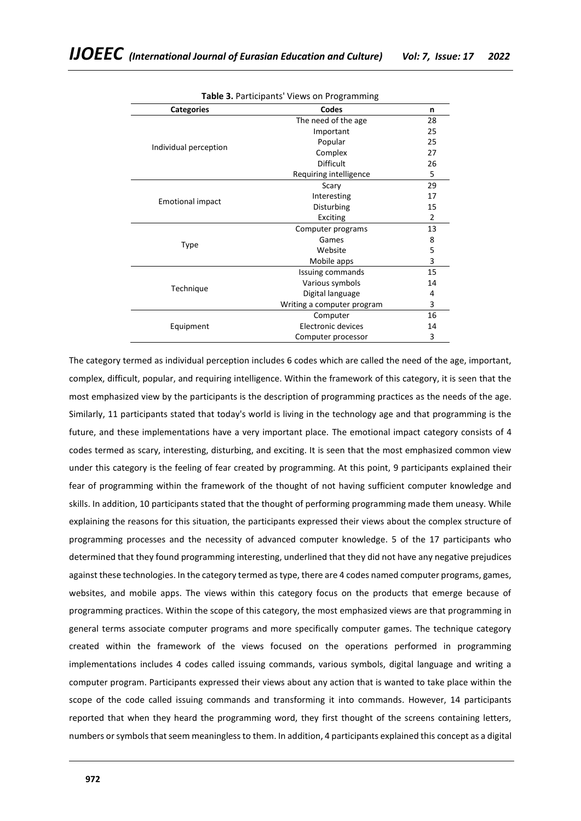| <b>rable 3.</b> Farticipants views on Flogramming |                            |                |  |
|---------------------------------------------------|----------------------------|----------------|--|
| <b>Categories</b>                                 | Codes                      | n              |  |
|                                                   | The need of the age        | 28             |  |
|                                                   | Important                  | 25             |  |
|                                                   | Popular                    | 25             |  |
| Individual perception                             | Complex                    | 27             |  |
|                                                   | <b>Difficult</b>           | 26             |  |
|                                                   | Requiring intelligence     | 5              |  |
|                                                   | Scary                      | 29             |  |
| <b>Emotional impact</b>                           | Interesting                | 17             |  |
|                                                   | Disturbing                 | 15             |  |
|                                                   | Exciting                   | $\overline{2}$ |  |
|                                                   | Computer programs          | 13             |  |
|                                                   | Games                      | 8              |  |
| Type                                              | Website                    | 5              |  |
|                                                   | Mobile apps                | 3              |  |
|                                                   | Issuing commands           | 15             |  |
|                                                   | Various symbols            | 14             |  |
| Technique                                         | Digital language           | 4              |  |
|                                                   | Writing a computer program | 3              |  |
|                                                   | Computer                   | 16             |  |
| Equipment                                         | Electronic devices         | 14             |  |
|                                                   | Computer processor         | 3              |  |
|                                                   |                            |                |  |

**Table 3.** Participants' Views on Programming

The category termed as individual perception includes 6 codes which are called the need of the age, important, complex, difficult, popular, and requiring intelligence. Within the framework of this category, it is seen that the most emphasized view by the participants is the description of programming practices as the needs of the age. Similarly, 11 participants stated that today's world is living in the technology age and that programming is the future, and these implementations have a very important place. The emotional impact category consists of 4 codes termed as scary, interesting, disturbing, and exciting. It is seen that the most emphasized common view under this category is the feeling of fear created by programming. At this point, 9 participants explained their fear of programming within the framework of the thought of not having sufficient computer knowledge and skills. In addition, 10 participants stated that the thought of performing programming made them uneasy. While explaining the reasons for this situation, the participants expressed their views about the complex structure of programming processes and the necessity of advanced computer knowledge. 5 of the 17 participants who determined that they found programming interesting, underlined that they did not have any negative prejudices against these technologies. In the category termed as type, there are 4 codes named computer programs, games, websites, and mobile apps. The views within this category focus on the products that emerge because of programming practices. Within the scope of this category, the most emphasized views are that programming in general terms associate computer programs and more specifically computer games. The technique category created within the framework of the views focused on the operations performed in programming implementations includes 4 codes called issuing commands, various symbols, digital language and writing a computer program. Participants expressed their views about any action that is wanted to take place within the scope of the code called issuing commands and transforming it into commands. However, 14 participants reported that when they heard the programming word, they first thought of the screens containing letters, numbers or symbols that seem meaningless to them. In addition, 4 participants explained this concept as a digital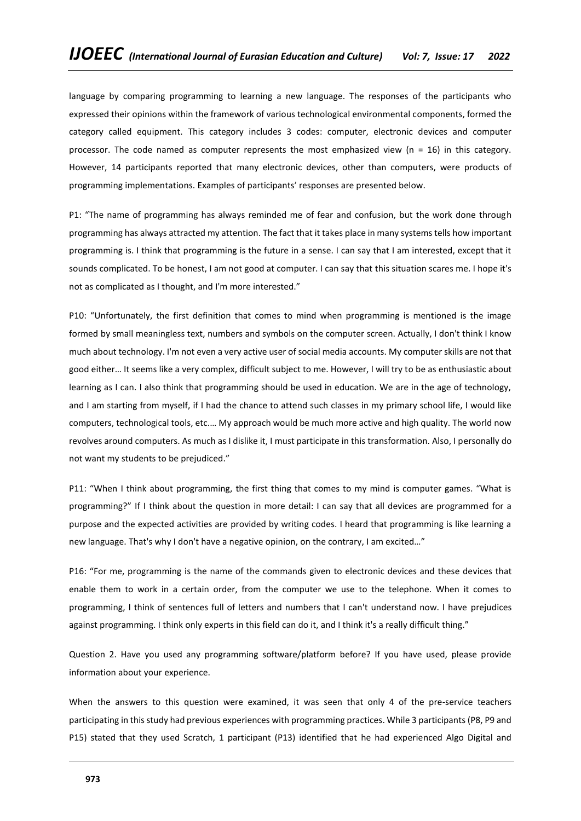language by comparing programming to learning a new language. The responses of the participants who expressed their opinions within the framework of various technological environmental components, formed the category called equipment. This category includes 3 codes: computer, electronic devices and computer processor. The code named as computer represents the most emphasized view (n = 16) in this category. However, 14 participants reported that many electronic devices, other than computers, were products of programming implementations. Examples of participants' responses are presented below.

P1: "The name of programming has always reminded me of fear and confusion, but the work done through programming has always attracted my attention. The fact that it takes place in many systems tells how important programming is. I think that programming is the future in a sense. I can say that I am interested, except that it sounds complicated. To be honest, I am not good at computer. I can say that this situation scares me. I hope it's not as complicated as I thought, and I'm more interested."

P10: "Unfortunately, the first definition that comes to mind when programming is mentioned is the image formed by small meaningless text, numbers and symbols on the computer screen. Actually, I don't think I know much about technology. I'm not even a very active user of social media accounts. My computer skills are not that good either… It seems like a very complex, difficult subject to me. However, I will try to be as enthusiastic about learning as I can. I also think that programming should be used in education. We are in the age of technology, and I am starting from myself, if I had the chance to attend such classes in my primary school life, I would like computers, technological tools, etc.… My approach would be much more active and high quality. The world now revolves around computers. As much as I dislike it, I must participate in this transformation. Also, I personally do not want my students to be prejudiced."

P11: "When I think about programming, the first thing that comes to my mind is computer games. "What is programming?" If I think about the question in more detail: I can say that all devices are programmed for a purpose and the expected activities are provided by writing codes. I heard that programming is like learning a new language. That's why I don't have a negative opinion, on the contrary, I am excited…"

P16: "For me, programming is the name of the commands given to electronic devices and these devices that enable them to work in a certain order, from the computer we use to the telephone. When it comes to programming, I think of sentences full of letters and numbers that I can't understand now. I have prejudices against programming. I think only experts in this field can do it, and I think it's a really difficult thing."

Question 2. Have you used any programming software/platform before? If you have used, please provide information about your experience.

When the answers to this question were examined, it was seen that only 4 of the pre-service teachers participating in this study had previous experiences with programming practices. While 3 participants (P8, P9 and P15) stated that they used Scratch, 1 participant (P13) identified that he had experienced Algo Digital and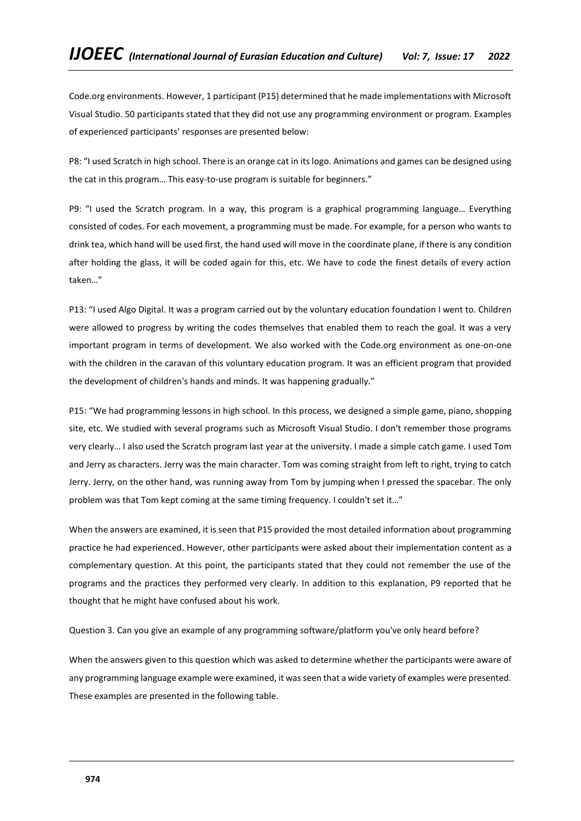Code.org environments. However, 1 participant (P15) determined that he made implementations with Microsoft Visual Studio. 50 participants stated that they did not use any programming environment or program. Examples of experienced participants' responses are presented below:

P8: "I used Scratch in high school. There is an orange cat in its logo. Animations and games can be designed using the cat in this program… This easy-to-use program is suitable for beginners."

P9: "I used the Scratch program. In a way, this program is a graphical programming language… Everything consisted of codes. For each movement, a programming must be made. For example, for a person who wants to drink tea, which hand will be used first, the hand used will move in the coordinate plane, if there is any condition after holding the glass, it will be coded again for this, etc. We have to code the finest details of every action taken…"

P13: "I used Algo Digital. It was a program carried out by the voluntary education foundation I went to. Children were allowed to progress by writing the codes themselves that enabled them to reach the goal. It was a very important program in terms of development. We also worked with the Code.org environment as one-on-one with the children in the caravan of this voluntary education program. It was an efficient program that provided the development of children's hands and minds. It was happening gradually."

P15: "We had programming lessons in high school. In this process, we designed a simple game, piano, shopping site, etc. We studied with several programs such as Microsoft Visual Studio. I don't remember those programs very clearly… I also used the Scratch program last year at the university. I made a simple catch game. I used Tom and Jerry as characters. Jerry was the main character. Tom was coming straight from left to right, trying to catch Jerry. Jerry, on the other hand, was running away from Tom by jumping when I pressed the spacebar. The only problem was that Tom kept coming at the same timing frequency. I couldn't set it…"

When the answers are examined, it is seen that P15 provided the most detailed information about programming practice he had experienced. However, other participants were asked about their implementation content as a complementary question. At this point, the participants stated that they could not remember the use of the programs and the practices they performed very clearly. In addition to this explanation, P9 reported that he thought that he might have confused about his work.

Question 3. Can you give an example of any programming software/platform you've only heard before?

When the answers given to this question which was asked to determine whether the participants were aware of any programming language example were examined, it was seen that a wide variety of examples were presented. These examples are presented in the following table.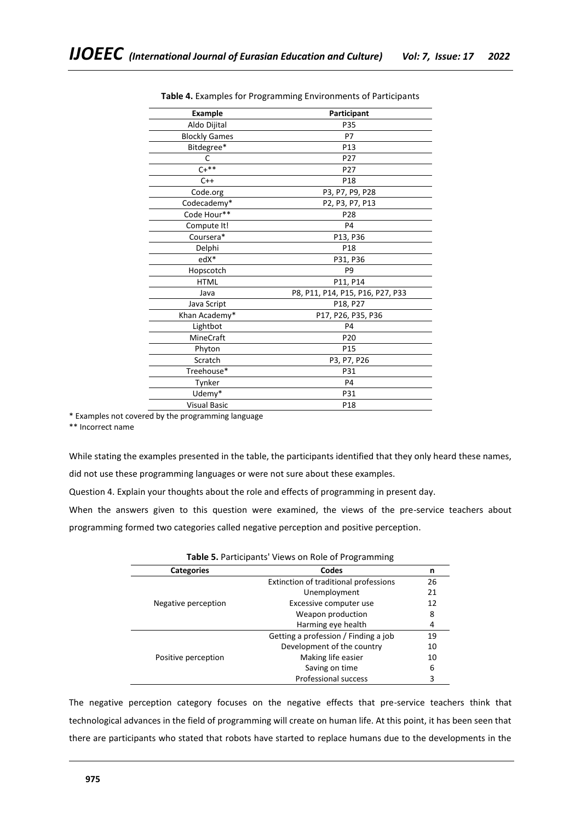| <b>Example</b>       | Participant                      |
|----------------------|----------------------------------|
| Aldo Dijital         | P35                              |
| <b>Blockly Games</b> | P7                               |
| Bitdegree*           | P13                              |
| C                    | P27                              |
| $C+***$              | P <sub>27</sub>                  |
| $C++$                | P <sub>18</sub>                  |
| Code.org             | P3, P7, P9, P28                  |
| Codecademy*          | P2, P3, P7, P13                  |
| Code Hour**          | P28                              |
| Compute It!          | P4                               |
| Coursera*            | P13, P36                         |
| Delphi               | P18                              |
| edX*                 | P31, P36                         |
| Hopscotch            | P <sub>9</sub>                   |
| <b>HTML</b>          | P11, P14                         |
| Java                 | P8, P11, P14, P15, P16, P27, P33 |
| Java Script          | P18, P27                         |
| Khan Academy*        | P17, P26, P35, P36               |
| Lightbot             | P <sub>4</sub>                   |
| MineCraft            | P <sub>20</sub>                  |
| Phyton               | P <sub>15</sub>                  |
| Scratch              | P3, P7, P26                      |
| Treehouse*           | P31                              |
| Tynker               | P <sub>4</sub>                   |
| Udemy*               | P31                              |
| <b>Visual Basic</b>  | P18                              |
|                      |                                  |

**Table 4.** Examples for Programming Environments of Participants

\* Examples not covered by the programming language

\*\* Incorrect name

While stating the examples presented in the table, the participants identified that they only heard these names,

did not use these programming languages or were not sure about these examples.

Question 4. Explain your thoughts about the role and effects of programming in present day.

When the answers given to this question were examined, the views of the pre-service teachers about programming formed two categories called negative perception and positive perception.

| <b>Categories</b>   | Codes                                 | n  |
|---------------------|---------------------------------------|----|
|                     | Extinction of traditional professions | 26 |
|                     | Unemployment                          | 21 |
| Negative perception | Excessive computer use                | 12 |
|                     | Weapon production                     | 8  |
|                     | Harming eye health                    | 4  |
|                     | Getting a profession / Finding a job  | 19 |
|                     | Development of the country            | 10 |
| Positive perception | Making life easier                    | 10 |
|                     | Saving on time                        | 6  |
|                     | <b>Professional success</b>           | 3  |

**Table 5.** Participants' Views on Role of Programming

The negative perception category focuses on the negative effects that pre-service teachers think that technological advances in the field of programming will create on human life. At this point, it has been seen that there are participants who stated that robots have started to replace humans due to the developments in the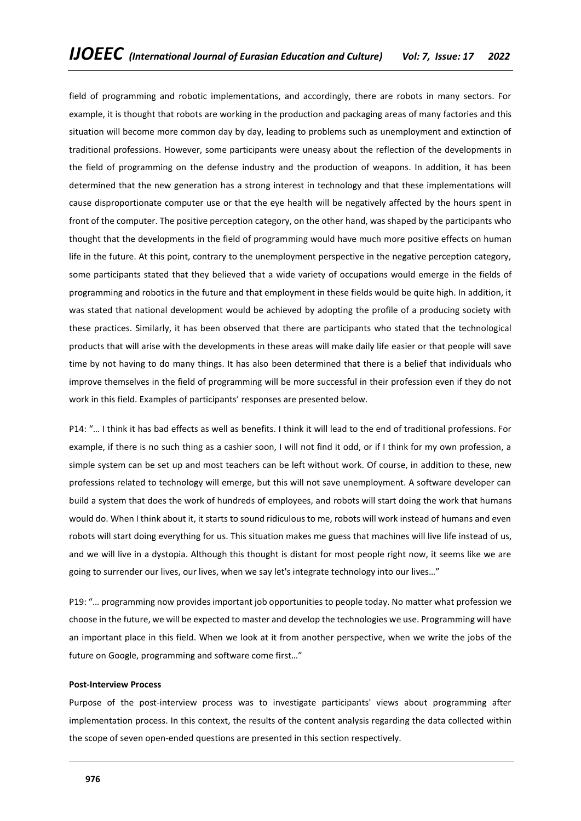field of programming and robotic implementations, and accordingly, there are robots in many sectors. For example, it is thought that robots are working in the production and packaging areas of many factories and this situation will become more common day by day, leading to problems such as unemployment and extinction of traditional professions. However, some participants were uneasy about the reflection of the developments in the field of programming on the defense industry and the production of weapons. In addition, it has been determined that the new generation has a strong interest in technology and that these implementations will cause disproportionate computer use or that the eye health will be negatively affected by the hours spent in front of the computer. The positive perception category, on the other hand, was shaped by the participants who thought that the developments in the field of programming would have much more positive effects on human life in the future. At this point, contrary to the unemployment perspective in the negative perception category, some participants stated that they believed that a wide variety of occupations would emerge in the fields of programming and robotics in the future and that employment in these fields would be quite high. In addition, it was stated that national development would be achieved by adopting the profile of a producing society with these practices. Similarly, it has been observed that there are participants who stated that the technological products that will arise with the developments in these areas will make daily life easier or that people will save time by not having to do many things. It has also been determined that there is a belief that individuals who improve themselves in the field of programming will be more successful in their profession even if they do not work in this field. Examples of participants' responses are presented below.

P14: "… I think it has bad effects as well as benefits. I think it will lead to the end of traditional professions. For example, if there is no such thing as a cashier soon, I will not find it odd, or if I think for my own profession, a simple system can be set up and most teachers can be left without work. Of course, in addition to these, new professions related to technology will emerge, but this will not save unemployment. A software developer can build a system that does the work of hundreds of employees, and robots will start doing the work that humans would do. When I think about it, it starts to sound ridiculous to me, robots will work instead of humans and even robots will start doing everything for us. This situation makes me guess that machines will live life instead of us, and we will live in a dystopia. Although this thought is distant for most people right now, it seems like we are going to surrender our lives, our lives, when we say let's integrate technology into our lives…"

P19: "… programming now provides important job opportunities to people today. No matter what profession we choose in the future, we will be expected to master and develop the technologies we use. Programming will have an important place in this field. When we look at it from another perspective, when we write the jobs of the future on Google, programming and software come first…"

# **Post-Interview Process**

Purpose of the post-interview process was to investigate participants' views about programming after implementation process. In this context, the results of the content analysis regarding the data collected within the scope of seven open-ended questions are presented in this section respectively.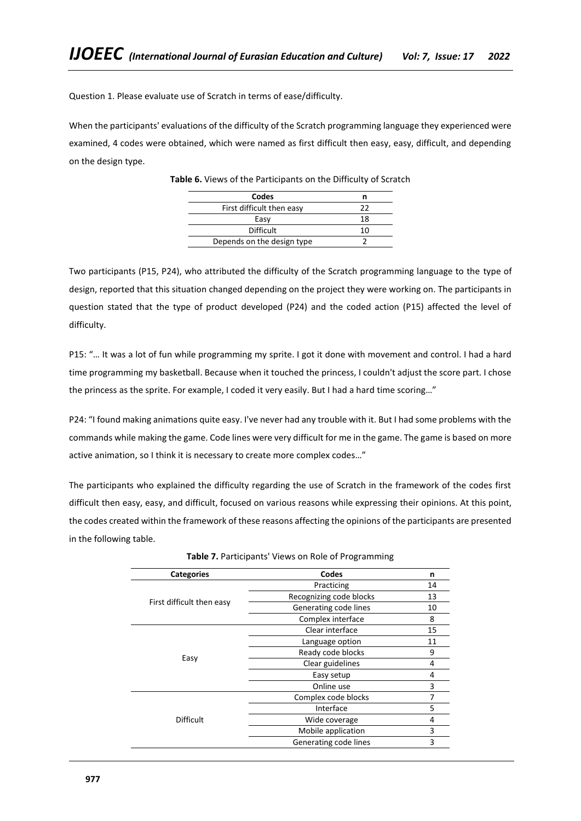Question 1. Please evaluate use of Scratch in terms of ease/difficulty.

When the participants' evaluations of the difficulty of the Scratch programming language they experienced were examined, 4 codes were obtained, which were named as first difficult then easy, easy, difficult, and depending on the design type.

| Codes                      |    |
|----------------------------|----|
| First difficult then easy  | つつ |
| Easy                       | 18 |
| <b>Difficult</b>           | 10 |
| Depends on the design type |    |

**Table 6.** Views of the Participants on the Difficulty of Scratch

Two participants (P15, P24), who attributed the difficulty of the Scratch programming language to the type of design, reported that this situation changed depending on the project they were working on. The participants in question stated that the type of product developed (P24) and the coded action (P15) affected the level of difficulty.

P15: "… It was a lot of fun while programming my sprite. I got it done with movement and control. I had a hard time programming my basketball. Because when it touched the princess, I couldn't adjust the score part. I chose the princess as the sprite. For example, I coded it very easily. But I had a hard time scoring…"

P24: "I found making animations quite easy. I've never had any trouble with it. But I had some problems with the commands while making the game. Code lines were very difficult for me in the game. The game is based on more active animation, so I think it is necessary to create more complex codes…"

The participants who explained the difficulty regarding the use of Scratch in the framework of the codes first difficult then easy, easy, and difficult, focused on various reasons while expressing their opinions. At this point, the codes created within the framework of these reasons affecting the opinions of the participants are presented in the following table.

| <b>Categories</b>         | Codes                   | n  |
|---------------------------|-------------------------|----|
|                           | Practicing              | 14 |
|                           | Recognizing code blocks | 13 |
| First difficult then easy | Generating code lines   | 10 |
|                           | Complex interface       | 8  |
|                           | Clear interface         | 15 |
|                           | Language option         | 11 |
|                           | Ready code blocks       | 9  |
| Easy                      | Clear guidelines        | 4  |
|                           | Easy setup              | 4  |
|                           | Online use              | 3  |
|                           | Complex code blocks     | 7  |
|                           | Interface               | 5  |
| <b>Difficult</b>          | Wide coverage           | 4  |
|                           | Mobile application      | 3  |
|                           | Generating code lines   | 3  |

| Table 7. Participants' Views on Role of Programming |  |  |
|-----------------------------------------------------|--|--|
|-----------------------------------------------------|--|--|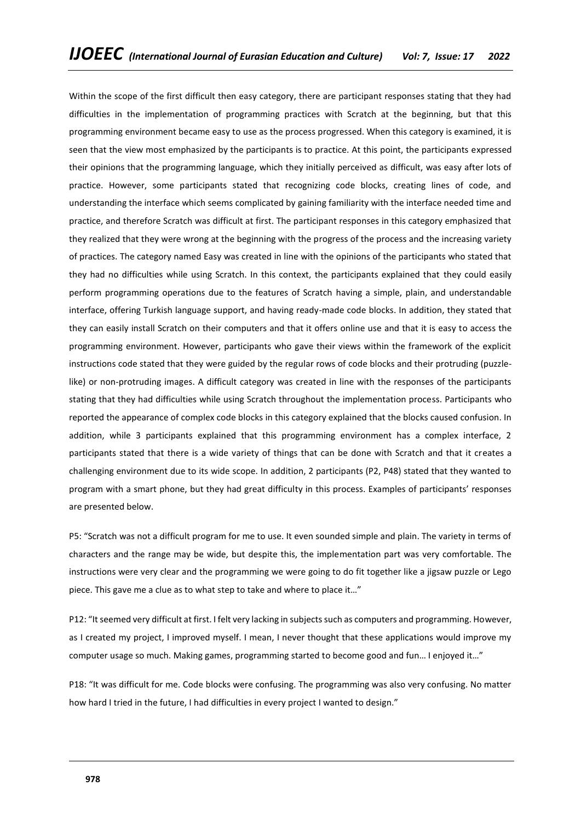Within the scope of the first difficult then easy category, there are participant responses stating that they had difficulties in the implementation of programming practices with Scratch at the beginning, but that this programming environment became easy to use as the process progressed. When this category is examined, it is seen that the view most emphasized by the participants is to practice. At this point, the participants expressed their opinions that the programming language, which they initially perceived as difficult, was easy after lots of practice. However, some participants stated that recognizing code blocks, creating lines of code, and understanding the interface which seems complicated by gaining familiarity with the interface needed time and practice, and therefore Scratch was difficult at first. The participant responses in this category emphasized that they realized that they were wrong at the beginning with the progress of the process and the increasing variety of practices. The category named Easy was created in line with the opinions of the participants who stated that they had no difficulties while using Scratch. In this context, the participants explained that they could easily perform programming operations due to the features of Scratch having a simple, plain, and understandable interface, offering Turkish language support, and having ready-made code blocks. In addition, they stated that they can easily install Scratch on their computers and that it offers online use and that it is easy to access the programming environment. However, participants who gave their views within the framework of the explicit instructions code stated that they were guided by the regular rows of code blocks and their protruding (puzzlelike) or non-protruding images. A difficult category was created in line with the responses of the participants stating that they had difficulties while using Scratch throughout the implementation process. Participants who reported the appearance of complex code blocks in this category explained that the blocks caused confusion. In addition, while 3 participants explained that this programming environment has a complex interface, 2 participants stated that there is a wide variety of things that can be done with Scratch and that it creates a challenging environment due to its wide scope. In addition, 2 participants (P2, P48) stated that they wanted to program with a smart phone, but they had great difficulty in this process. Examples of participants' responses are presented below.

P5: "Scratch was not a difficult program for me to use. It even sounded simple and plain. The variety in terms of characters and the range may be wide, but despite this, the implementation part was very comfortable. The instructions were very clear and the programming we were going to do fit together like a jigsaw puzzle or Lego piece. This gave me a clue as to what step to take and where to place it…"

P12: "It seemed very difficult at first. I felt very lacking in subjects such as computers and programming. However, as I created my project, I improved myself. I mean, I never thought that these applications would improve my computer usage so much. Making games, programming started to become good and fun… I enjoyed it…"

P18: "It was difficult for me. Code blocks were confusing. The programming was also very confusing. No matter how hard I tried in the future, I had difficulties in every project I wanted to design."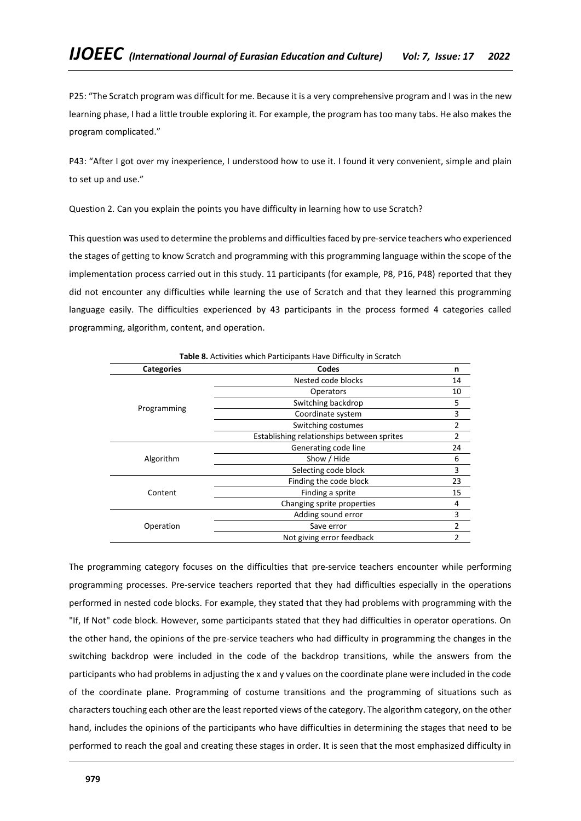P25: "The Scratch program was difficult for me. Because it is a very comprehensive program and I was in the new learning phase, I had a little trouble exploring it. For example, the program has too many tabs. He also makes the program complicated."

P43: "After I got over my inexperience, I understood how to use it. I found it very convenient, simple and plain to set up and use."

Question 2. Can you explain the points you have difficulty in learning how to use Scratch?

This question was used to determine the problems and difficulties faced by pre-service teachers who experienced the stages of getting to know Scratch and programming with this programming language within the scope of the implementation process carried out in this study. 11 participants (for example, P8, P16, P48) reported that they did not encounter any difficulties while learning the use of Scratch and that they learned this programming language easily. The difficulties experienced by 43 participants in the process formed 4 categories called programming, algorithm, content, and operation.

| Table 8. Activities which Participants Have Difficulty in Scratch |                                            |                |  |
|-------------------------------------------------------------------|--------------------------------------------|----------------|--|
| <b>Categories</b>                                                 | Codes                                      | n              |  |
|                                                                   | Nested code blocks                         | 14             |  |
|                                                                   | <b>Operators</b>                           | 10             |  |
| Programming                                                       | Switching backdrop                         | 5              |  |
|                                                                   | Coordinate system                          | 3              |  |
|                                                                   | Switching costumes                         | $\overline{2}$ |  |
|                                                                   | Establishing relationships between sprites | $\overline{2}$ |  |
|                                                                   | Generating code line                       | 24             |  |
| Algorithm                                                         | Show / Hide                                | 6              |  |
|                                                                   | Selecting code block                       | 3              |  |
|                                                                   | Finding the code block                     | 23             |  |
| Content                                                           | Finding a sprite                           | 15             |  |
|                                                                   | Changing sprite properties                 | 4              |  |
|                                                                   | Adding sound error                         | 3              |  |
| Operation                                                         | Save error                                 | 2              |  |
|                                                                   | Not giving error feedback                  | 2              |  |

The programming category focuses on the difficulties that pre-service teachers encounter while performing programming processes. Pre-service teachers reported that they had difficulties especially in the operations performed in nested code blocks. For example, they stated that they had problems with programming with the "If, If Not" code block. However, some participants stated that they had difficulties in operator operations. On the other hand, the opinions of the pre-service teachers who had difficulty in programming the changes in the switching backdrop were included in the code of the backdrop transitions, while the answers from the participants who had problems in adjusting the x and y values on the coordinate plane were included in the code of the coordinate plane. Programming of costume transitions and the programming of situations such as characters touching each other are the least reported views of the category. The algorithm category, on the other hand, includes the opinions of the participants who have difficulties in determining the stages that need to be performed to reach the goal and creating these stages in order. It is seen that the most emphasized difficulty in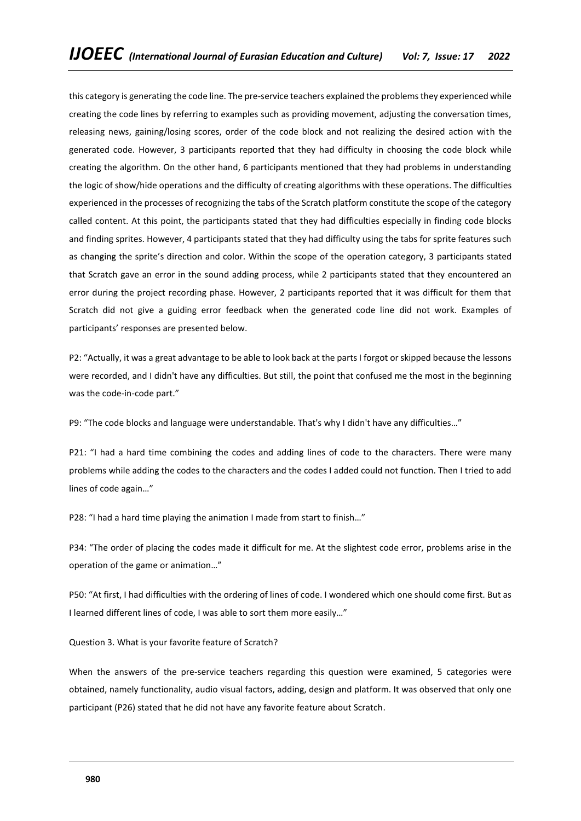this category is generating the code line. The pre-service teachers explained the problems they experienced while creating the code lines by referring to examples such as providing movement, adjusting the conversation times, releasing news, gaining/losing scores, order of the code block and not realizing the desired action with the generated code. However, 3 participants reported that they had difficulty in choosing the code block while creating the algorithm. On the other hand, 6 participants mentioned that they had problems in understanding the logic of show/hide operations and the difficulty of creating algorithms with these operations. The difficulties experienced in the processes of recognizing the tabs of the Scratch platform constitute the scope of the category called content. At this point, the participants stated that they had difficulties especially in finding code blocks and finding sprites. However, 4 participants stated that they had difficulty using the tabs for sprite features such as changing the sprite's direction and color. Within the scope of the operation category, 3 participants stated that Scratch gave an error in the sound adding process, while 2 participants stated that they encountered an error during the project recording phase. However, 2 participants reported that it was difficult for them that Scratch did not give a guiding error feedback when the generated code line did not work. Examples of participants' responses are presented below.

P2: "Actually, it was a great advantage to be able to look back at the parts I forgot or skipped because the lessons were recorded, and I didn't have any difficulties. But still, the point that confused me the most in the beginning was the code-in-code part."

P9: "The code blocks and language were understandable. That's why I didn't have any difficulties…"

P21: "I had a hard time combining the codes and adding lines of code to the characters. There were many problems while adding the codes to the characters and the codes I added could not function. Then I tried to add lines of code again…"

P28: "I had a hard time playing the animation I made from start to finish…"

P34: "The order of placing the codes made it difficult for me. At the slightest code error, problems arise in the operation of the game or animation…"

P50: "At first, I had difficulties with the ordering of lines of code. I wondered which one should come first. But as I learned different lines of code, I was able to sort them more easily…"

Question 3. What is your favorite feature of Scratch?

When the answers of the pre-service teachers regarding this question were examined, 5 categories were obtained, namely functionality, audio visual factors, adding, design and platform. It was observed that only one participant (P26) stated that he did not have any favorite feature about Scratch.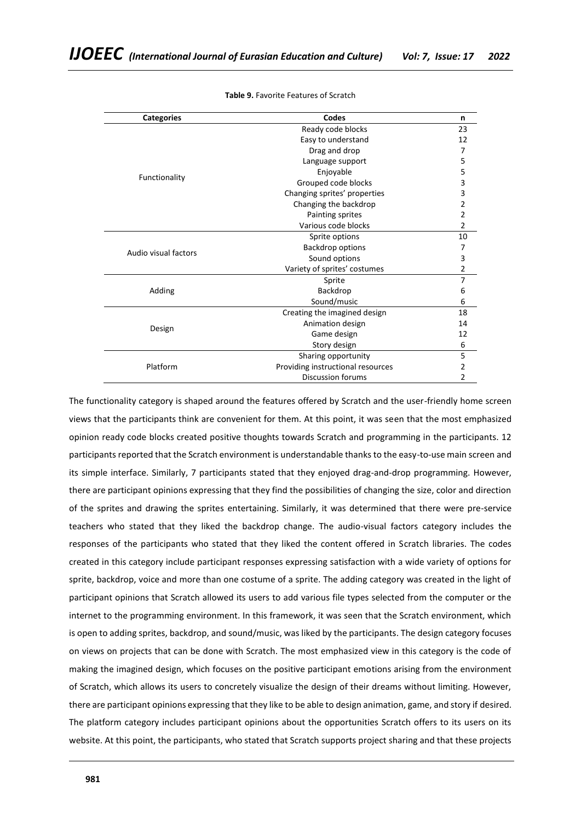| <b>Categories</b>    | Codes                             | n  |
|----------------------|-----------------------------------|----|
|                      | Ready code blocks                 | 23 |
|                      | Easy to understand                | 12 |
|                      | Drag and drop                     |    |
|                      | Language support                  | 5  |
| Functionality        | Enjoyable                         | 5  |
|                      | Grouped code blocks               | 3  |
|                      | Changing sprites' properties      | 3  |
|                      | Changing the backdrop             | 2  |
|                      | Painting sprites                  | 2  |
|                      | Various code blocks               | 2  |
|                      | Sprite options                    | 10 |
| Audio visual factors | Backdrop options                  |    |
|                      | Sound options                     | 3  |
|                      | Variety of sprites' costumes      | 2  |
|                      | Sprite                            | 7  |
| Adding               | Backdrop                          | 6  |
|                      | Sound/music                       | 6  |
|                      | Creating the imagined design      | 18 |
| Design               | Animation design                  | 14 |
|                      | Game design                       | 12 |
|                      | Story design                      | 6  |
|                      | Sharing opportunity               | 5  |
| Platform             | Providing instructional resources | 2  |
|                      | Discussion forums                 | 2  |

**Table 9.** Favorite Features of Scratch

The functionality category is shaped around the features offered by Scratch and the user-friendly home screen views that the participants think are convenient for them. At this point, it was seen that the most emphasized opinion ready code blocks created positive thoughts towards Scratch and programming in the participants. 12 participants reported that the Scratch environment is understandable thanks to the easy-to-use main screen and its simple interface. Similarly, 7 participants stated that they enjoyed drag-and-drop programming. However, there are participant opinions expressing that they find the possibilities of changing the size, color and direction of the sprites and drawing the sprites entertaining. Similarly, it was determined that there were pre-service teachers who stated that they liked the backdrop change. The audio-visual factors category includes the responses of the participants who stated that they liked the content offered in Scratch libraries. The codes created in this category include participant responses expressing satisfaction with a wide variety of options for sprite, backdrop, voice and more than one costume of a sprite. The adding category was created in the light of participant opinions that Scratch allowed its users to add various file types selected from the computer or the internet to the programming environment. In this framework, it was seen that the Scratch environment, which is open to adding sprites, backdrop, and sound/music, was liked by the participants. The design category focuses on views on projects that can be done with Scratch. The most emphasized view in this category is the code of making the imagined design, which focuses on the positive participant emotions arising from the environment of Scratch, which allows its users to concretely visualize the design of their dreams without limiting. However, there are participant opinions expressing that they like to be able to design animation, game, and story if desired. The platform category includes participant opinions about the opportunities Scratch offers to its users on its website. At this point, the participants, who stated that Scratch supports project sharing and that these projects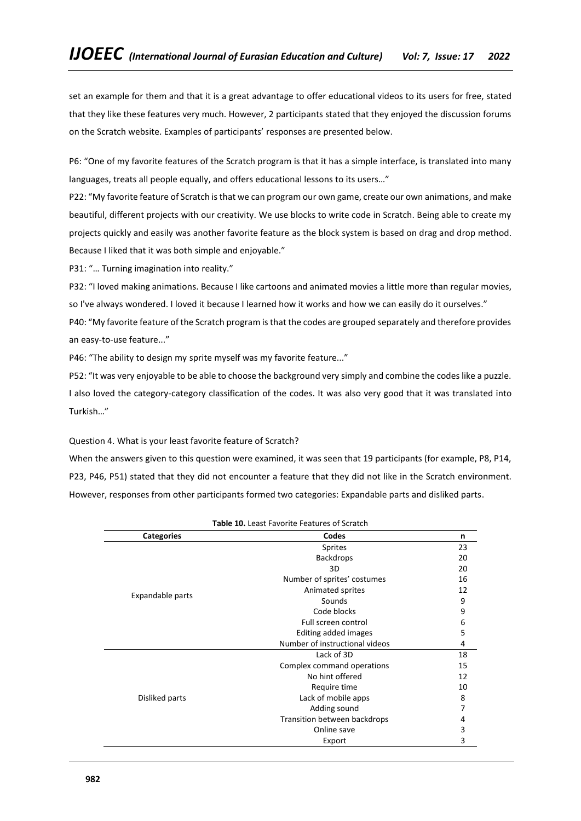set an example for them and that it is a great advantage to offer educational videos to its users for free, stated that they like these features very much. However, 2 participants stated that they enjoyed the discussion forums on the Scratch website. Examples of participants' responses are presented below.

P6: "One of my favorite features of the Scratch program is that it has a simple interface, is translated into many languages, treats all people equally, and offers educational lessons to its users..."

P22: "My favorite feature of Scratch is that we can program our own game, create our own animations, and make beautiful, different projects with our creativity. We use blocks to write code in Scratch. Being able to create my projects quickly and easily was another favorite feature as the block system is based on drag and drop method. Because I liked that it was both simple and enjoyable."

P31: "... Turning imagination into reality."

P32: "I loved making animations. Because I like cartoons and animated movies a little more than regular movies, so I've always wondered. I loved it because I learned how it works and how we can easily do it ourselves."

P40: "My favorite feature of the Scratch program is that the codes are grouped separately and therefore provides an easy-to-use feature..."

P46: "The ability to design my sprite myself was my favorite feature..."

P52: "It was very enjoyable to be able to choose the background very simply and combine the codes like a puzzle. I also loved the category-category classification of the codes. It was also very good that it was translated into Turkish…"

Question 4. What is your least favorite feature of Scratch?

When the answers given to this question were examined, it was seen that 19 participants (for example, P8, P14, P23, P46, P51) stated that they did not encounter a feature that they did not like in the Scratch environment. However, responses from other participants formed two categories: Expandable parts and disliked parts.

| <b>Table 10.</b> Least Favorite Features of Scratch |                                |    |  |  |
|-----------------------------------------------------|--------------------------------|----|--|--|
| <b>Categories</b>                                   | Codes                          | n  |  |  |
|                                                     | Sprites                        | 23 |  |  |
|                                                     | <b>Backdrops</b>               | 20 |  |  |
|                                                     | 3D                             | 20 |  |  |
|                                                     | Number of sprites' costumes    | 16 |  |  |
|                                                     | Animated sprites               | 12 |  |  |
| Expandable parts                                    | Sounds                         | 9  |  |  |
|                                                     | Code blocks                    | 9  |  |  |
|                                                     | Full screen control            | 6  |  |  |
|                                                     | Editing added images           | 5  |  |  |
|                                                     | Number of instructional videos | 4  |  |  |
|                                                     | Lack of 3D                     | 18 |  |  |
|                                                     | Complex command operations     | 15 |  |  |
|                                                     | No hint offered                | 12 |  |  |
|                                                     | Require time                   | 10 |  |  |
| Disliked parts                                      | Lack of mobile apps            | 8  |  |  |
|                                                     | Adding sound                   | 7  |  |  |
|                                                     | Transition between backdrops   | 4  |  |  |
|                                                     | Online save                    | 3  |  |  |
|                                                     | Export                         | 3  |  |  |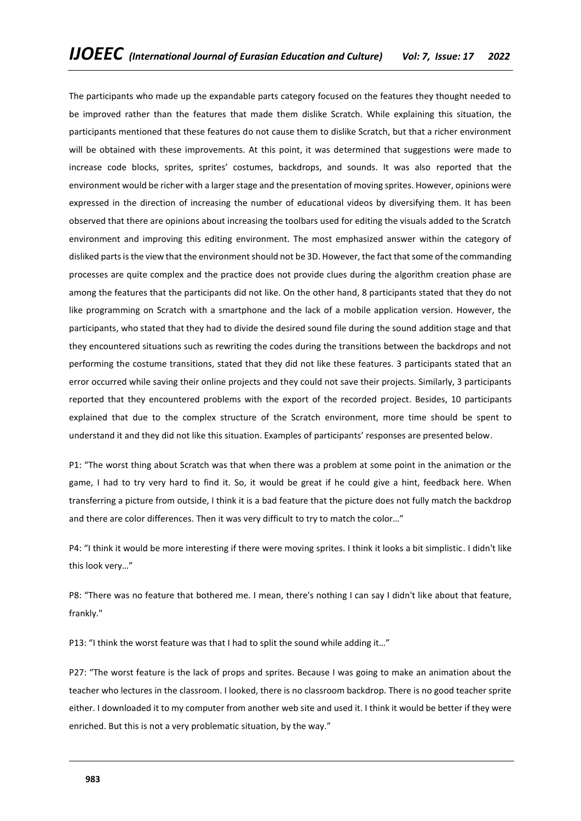The participants who made up the expandable parts category focused on the features they thought needed to be improved rather than the features that made them dislike Scratch. While explaining this situation, the participants mentioned that these features do not cause them to dislike Scratch, but that a richer environment will be obtained with these improvements. At this point, it was determined that suggestions were made to increase code blocks, sprites, sprites' costumes, backdrops, and sounds. It was also reported that the environment would be richer with a larger stage and the presentation of moving sprites. However, opinions were expressed in the direction of increasing the number of educational videos by diversifying them. It has been observed that there are opinions about increasing the toolbars used for editing the visuals added to the Scratch environment and improving this editing environment. The most emphasized answer within the category of disliked parts is the view that the environment should not be 3D. However, the fact that some of the commanding processes are quite complex and the practice does not provide clues during the algorithm creation phase are among the features that the participants did not like. On the other hand, 8 participants stated that they do not like programming on Scratch with a smartphone and the lack of a mobile application version. However, the participants, who stated that they had to divide the desired sound file during the sound addition stage and that they encountered situations such as rewriting the codes during the transitions between the backdrops and not performing the costume transitions, stated that they did not like these features. 3 participants stated that an error occurred while saving their online projects and they could not save their projects. Similarly, 3 participants reported that they encountered problems with the export of the recorded project. Besides, 10 participants explained that due to the complex structure of the Scratch environment, more time should be spent to understand it and they did not like this situation. Examples of participants' responses are presented below.

P1: "The worst thing about Scratch was that when there was a problem at some point in the animation or the game, I had to try very hard to find it. So, it would be great if he could give a hint, feedback here. When transferring a picture from outside, I think it is a bad feature that the picture does not fully match the backdrop and there are color differences. Then it was very difficult to try to match the color…"

P4: "I think it would be more interesting if there were moving sprites. I think it looks a bit simplistic. I didn't like this look very…"

P8: "There was no feature that bothered me. I mean, there's nothing I can say I didn't like about that feature, frankly."

P13: "I think the worst feature was that I had to split the sound while adding it..."

P27: "The worst feature is the lack of props and sprites. Because I was going to make an animation about the teacher who lectures in the classroom. I looked, there is no classroom backdrop. There is no good teacher sprite either. I downloaded it to my computer from another web site and used it. I think it would be better if they were enriched. But this is not a very problematic situation, by the way."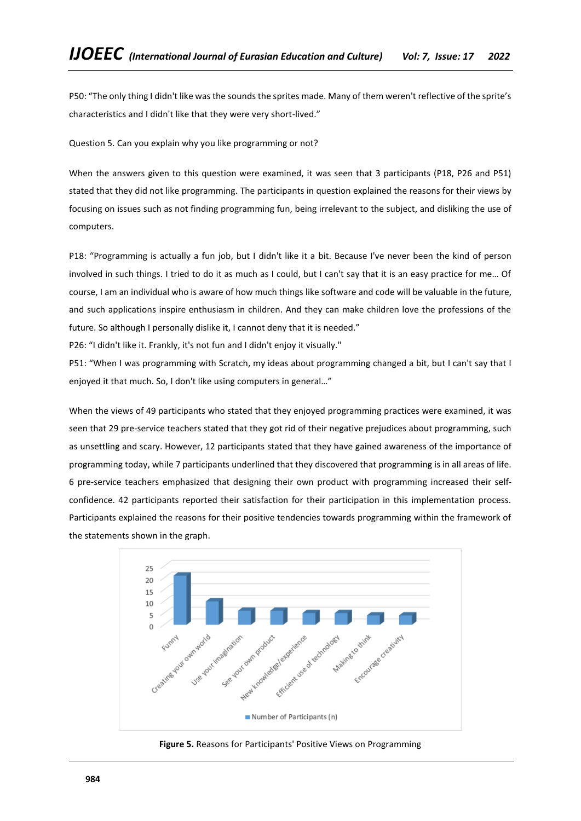P50: "The only thing I didn't like was the sounds the sprites made. Many of them weren't reflective of the sprite's characteristics and I didn't like that they were very short-lived."

Question 5. Can you explain why you like programming or not?

When the answers given to this question were examined, it was seen that 3 participants (P18, P26 and P51) stated that they did not like programming. The participants in question explained the reasons for their views by focusing on issues such as not finding programming fun, being irrelevant to the subject, and disliking the use of computers.

P18: "Programming is actually a fun job, but I didn't like it a bit. Because I've never been the kind of person involved in such things. I tried to do it as much as I could, but I can't say that it is an easy practice for me… Of course, I am an individual who is aware of how much things like software and code will be valuable in the future, and such applications inspire enthusiasm in children. And they can make children love the professions of the future. So although I personally dislike it, I cannot deny that it is needed."

P26: "I didn't like it. Frankly, it's not fun and I didn't enjoy it visually."

P51: "When I was programming with Scratch, my ideas about programming changed a bit, but I can't say that I enjoyed it that much. So, I don't like using computers in general…"

When the views of 49 participants who stated that they enjoyed programming practices were examined, it was seen that 29 pre-service teachers stated that they got rid of their negative prejudices about programming, such as unsettling and scary. However, 12 participants stated that they have gained awareness of the importance of programming today, while 7 participants underlined that they discovered that programming is in all areas of life. 6 pre-service teachers emphasized that designing their own product with programming increased their selfconfidence. 42 participants reported their satisfaction for their participation in this implementation process. Participants explained the reasons for their positive tendencies towards programming within the framework of the statements shown in the graph.



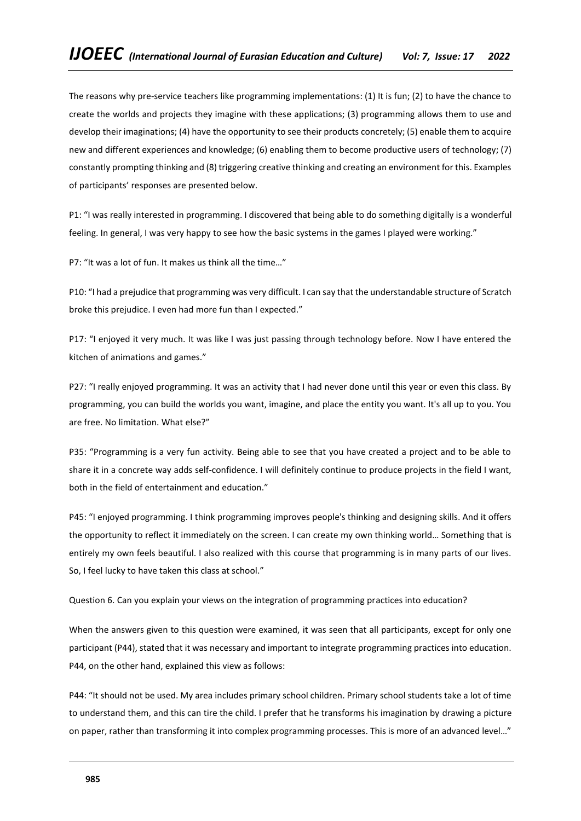The reasons why pre-service teachers like programming implementations: (1) It is fun; (2) to have the chance to create the worlds and projects they imagine with these applications; (3) programming allows them to use and develop their imaginations; (4) have the opportunity to see their products concretely; (5) enable them to acquire new and different experiences and knowledge; (6) enabling them to become productive users of technology; (7) constantly prompting thinking and (8) triggering creative thinking and creating an environment for this. Examples of participants' responses are presented below.

P1: "I was really interested in programming. I discovered that being able to do something digitally is a wonderful feeling. In general, I was very happy to see how the basic systems in the games I played were working."

P7: "It was a lot of fun. It makes us think all the time…"

P10: "I had a prejudice that programming was very difficult. I can say that the understandable structure of Scratch broke this prejudice. I even had more fun than I expected."

P17: "I enjoyed it very much. It was like I was just passing through technology before. Now I have entered the kitchen of animations and games."

P27: "I really enjoyed programming. It was an activity that I had never done until this year or even this class. By programming, you can build the worlds you want, imagine, and place the entity you want. It's all up to you. You are free. No limitation. What else?"

P35: "Programming is a very fun activity. Being able to see that you have created a project and to be able to share it in a concrete way adds self-confidence. I will definitely continue to produce projects in the field I want, both in the field of entertainment and education."

P45: "I enjoyed programming. I think programming improves people's thinking and designing skills. And it offers the opportunity to reflect it immediately on the screen. I can create my own thinking world… Something that is entirely my own feels beautiful. I also realized with this course that programming is in many parts of our lives. So, I feel lucky to have taken this class at school."

Question 6. Can you explain your views on the integration of programming practices into education?

When the answers given to this question were examined, it was seen that all participants, except for only one participant (P44), stated that it was necessary and important to integrate programming practices into education. P44, on the other hand, explained this view as follows:

P44: "It should not be used. My area includes primary school children. Primary school students take a lot of time to understand them, and this can tire the child. I prefer that he transforms his imagination by drawing a picture on paper, rather than transforming it into complex programming processes. This is more of an advanced level…"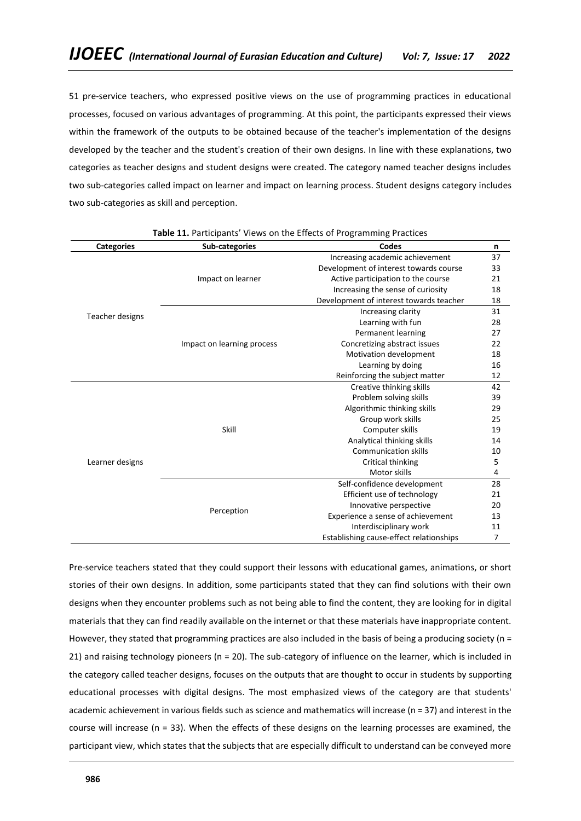51 pre-service teachers, who expressed positive views on the use of programming practices in educational processes, focused on various advantages of programming. At this point, the participants expressed their views within the framework of the outputs to be obtained because of the teacher's implementation of the designs developed by the teacher and the student's creation of their own designs. In line with these explanations, two categories as teacher designs and student designs were created. The category named teacher designs includes two sub-categories called impact on learner and impact on learning process. Student designs category includes two sub-categories as skill and perception.

| <b>Categories</b> | Sub-categories             | Codes                                   | n  |
|-------------------|----------------------------|-----------------------------------------|----|
| Teacher designs   |                            | Increasing academic achievement         | 37 |
|                   |                            | Development of interest towards course  | 33 |
|                   | Impact on learner          | Active participation to the course      | 21 |
|                   |                            | Increasing the sense of curiosity       | 18 |
|                   |                            | Development of interest towards teacher | 18 |
|                   |                            | Increasing clarity                      | 31 |
|                   |                            | Learning with fun                       | 28 |
|                   | Impact on learning process | Permanent learning                      | 27 |
|                   |                            | Concretizing abstract issues            | 22 |
|                   |                            | Motivation development                  | 18 |
|                   |                            | Learning by doing                       | 16 |
|                   |                            | Reinforcing the subject matter          | 12 |
| Learner designs   | Skill                      | Creative thinking skills                | 42 |
|                   |                            | Problem solving skills                  | 39 |
|                   |                            | Algorithmic thinking skills             | 29 |
|                   |                            | Group work skills                       | 25 |
|                   |                            | Computer skills                         | 19 |
|                   |                            | Analytical thinking skills              | 14 |
|                   |                            | <b>Communication skills</b>             | 10 |
|                   |                            | Critical thinking                       | 5  |
|                   |                            | Motor skills                            | 4  |
|                   |                            | Self-confidence development             | 28 |
|                   |                            | Efficient use of technology             | 21 |
|                   | Perception                 | Innovative perspective                  | 20 |
|                   |                            | Experience a sense of achievement       | 13 |
|                   |                            | Interdisciplinary work                  | 11 |
|                   |                            | Establishing cause-effect relationships | 7  |

**Table 11.** Participants' Views on the Effects of Programming Practices

Pre-service teachers stated that they could support their lessons with educational games, animations, or short stories of their own designs. In addition, some participants stated that they can find solutions with their own designs when they encounter problems such as not being able to find the content, they are looking for in digital materials that they can find readily available on the internet or that these materials have inappropriate content. However, they stated that programming practices are also included in the basis of being a producing society (n = 21) and raising technology pioneers (n = 20). The sub-category of influence on the learner, which is included in the category called teacher designs, focuses on the outputs that are thought to occur in students by supporting educational processes with digital designs. The most emphasized views of the category are that students' academic achievement in various fields such as science and mathematics will increase (n = 37) and interest in the course will increase (n = 33). When the effects of these designs on the learning processes are examined, the participant view, which states that the subjects that are especially difficult to understand can be conveyed more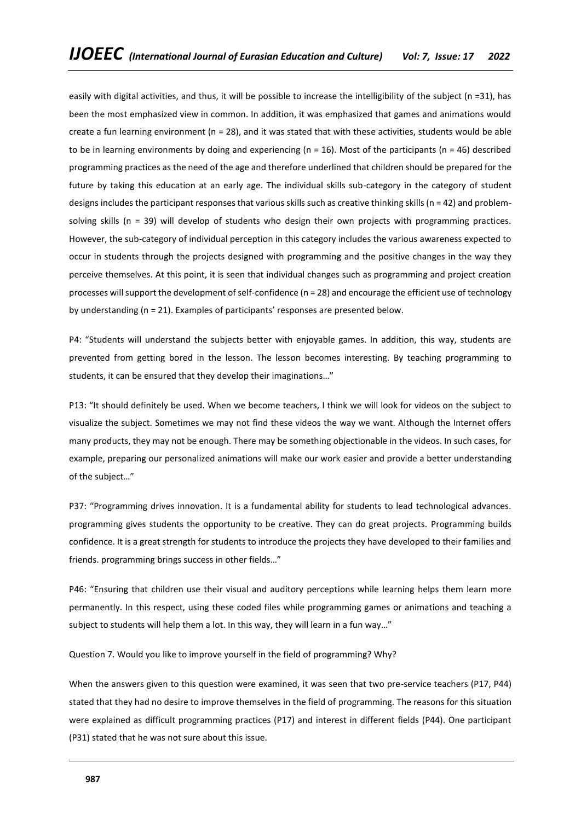easily with digital activities, and thus, it will be possible to increase the intelligibility of the subject ( $n = 31$ ), has been the most emphasized view in common. In addition, it was emphasized that games and animations would create a fun learning environment ( $n = 28$ ), and it was stated that with these activities, students would be able to be in learning environments by doing and experiencing (n = 16). Most of the participants (n = 46) described programming practices as the need of the age and therefore underlined that children should be prepared for the future by taking this education at an early age. The individual skills sub-category in the category of student designs includes the participant responses that various skills such as creative thinking skills (n = 42) and problemsolving skills (n = 39) will develop of students who design their own projects with programming practices. However, the sub-category of individual perception in this category includes the various awareness expected to occur in students through the projects designed with programming and the positive changes in the way they perceive themselves. At this point, it is seen that individual changes such as programming and project creation processes will support the development of self-confidence (n = 28) and encourage the efficient use of technology by understanding (n = 21). Examples of participants' responses are presented below.

P4: "Students will understand the subjects better with enjoyable games. In addition, this way, students are prevented from getting bored in the lesson. The lesson becomes interesting. By teaching programming to students, it can be ensured that they develop their imaginations…"

P13: "It should definitely be used. When we become teachers, I think we will look for videos on the subject to visualize the subject. Sometimes we may not find these videos the way we want. Although the Internet offers many products, they may not be enough. There may be something objectionable in the videos. In such cases, for example, preparing our personalized animations will make our work easier and provide a better understanding of the subject…"

P37: "Programming drives innovation. It is a fundamental ability for students to lead technological advances. programming gives students the opportunity to be creative. They can do great projects. Programming builds confidence. It is a great strength for students to introduce the projects they have developed to their families and friends. programming brings success in other fields…"

P46: "Ensuring that children use their visual and auditory perceptions while learning helps them learn more permanently. In this respect, using these coded files while programming games or animations and teaching a subject to students will help them a lot. In this way, they will learn in a fun way..."

Question 7. Would you like to improve yourself in the field of programming? Why?

When the answers given to this question were examined, it was seen that two pre-service teachers (P17, P44) stated that they had no desire to improve themselves in the field of programming. The reasons for this situation were explained as difficult programming practices (P17) and interest in different fields (P44). One participant (P31) stated that he was not sure about this issue.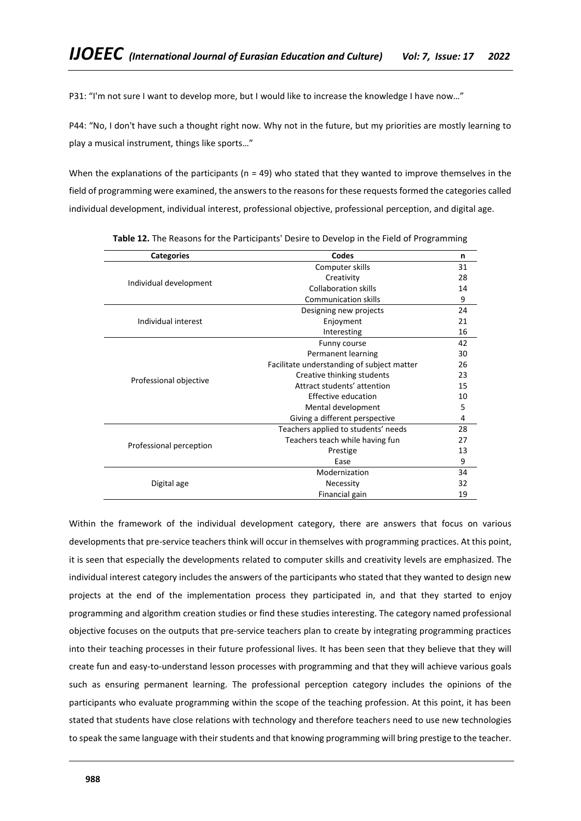P31: "I'm not sure I want to develop more, but I would like to increase the knowledge I have now…"

P44: "No, I don't have such a thought right now. Why not in the future, but my priorities are mostly learning to play a musical instrument, things like sports…"

When the explanations of the participants ( $n = 49$ ) who stated that they wanted to improve themselves in the field of programming were examined, the answers to the reasons for these requests formed the categories called individual development, individual interest, professional objective, professional perception, and digital age.

| <b>Categories</b>       | Codes                                      | n  |
|-------------------------|--------------------------------------------|----|
|                         | Computer skills                            | 31 |
| Individual development  | Creativity                                 | 28 |
|                         | <b>Collaboration skills</b>                | 14 |
|                         | <b>Communication skills</b>                | 9  |
|                         | Designing new projects                     | 24 |
| Individual interest     | Enjoyment                                  | 21 |
|                         | Interesting                                | 16 |
|                         | Funny course                               | 42 |
|                         | Permanent learning                         | 30 |
|                         | Facilitate understanding of subject matter | 26 |
| Professional objective  | Creative thinking students                 | 23 |
|                         | Attract students' attention                | 15 |
|                         | Effective education                        | 10 |
|                         | Mental development                         | 5  |
|                         | Giving a different perspective             | 4  |
|                         | Teachers applied to students' needs        | 28 |
| Professional perception | Teachers teach while having fun            | 27 |
|                         | Prestige                                   | 13 |
|                         | Ease                                       | 9  |
|                         | Modernization                              | 34 |
| Digital age             | Necessity                                  | 32 |
|                         | Financial gain                             | 19 |

**Table 12.** The Reasons for the Participants' Desire to Develop in the Field of Programming

Within the framework of the individual development category, there are answers that focus on various developments that pre-service teachers think will occur in themselves with programming practices. At this point, it is seen that especially the developments related to computer skills and creativity levels are emphasized. The individual interest category includes the answers of the participants who stated that they wanted to design new projects at the end of the implementation process they participated in, and that they started to enjoy programming and algorithm creation studies or find these studies interesting. The category named professional objective focuses on the outputs that pre-service teachers plan to create by integrating programming practices into their teaching processes in their future professional lives. It has been seen that they believe that they will create fun and easy-to-understand lesson processes with programming and that they will achieve various goals such as ensuring permanent learning. The professional perception category includes the opinions of the participants who evaluate programming within the scope of the teaching profession. At this point, it has been stated that students have close relations with technology and therefore teachers need to use new technologies to speak the same language with their students and that knowing programming will bring prestige to the teacher.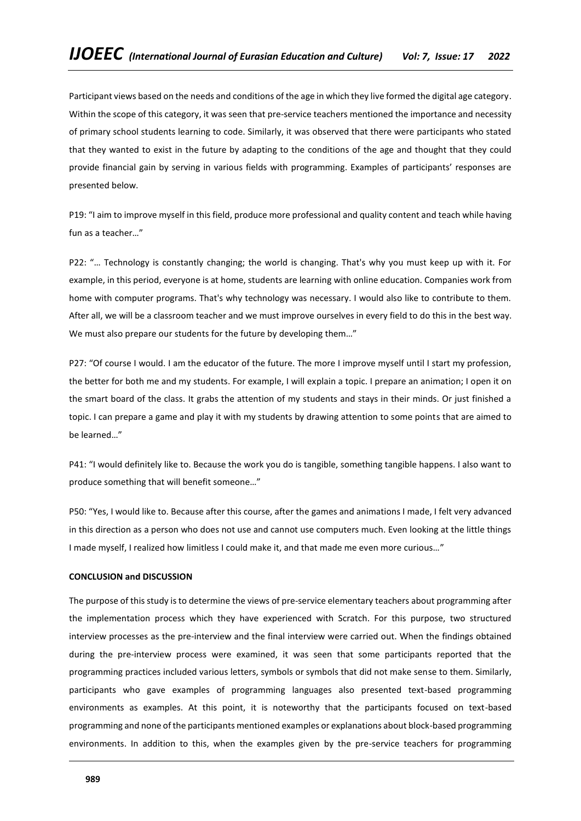Participant views based on the needs and conditions of the age in which they live formed the digital age category. Within the scope of this category, it was seen that pre-service teachers mentioned the importance and necessity of primary school students learning to code. Similarly, it was observed that there were participants who stated that they wanted to exist in the future by adapting to the conditions of the age and thought that they could provide financial gain by serving in various fields with programming. Examples of participants' responses are presented below.

P19: "I aim to improve myself in this field, produce more professional and quality content and teach while having fun as a teacher…"

P22: "… Technology is constantly changing; the world is changing. That's why you must keep up with it. For example, in this period, everyone is at home, students are learning with online education. Companies work from home with computer programs. That's why technology was necessary. I would also like to contribute to them. After all, we will be a classroom teacher and we must improve ourselves in every field to do this in the best way. We must also prepare our students for the future by developing them…"

P27: "Of course I would. I am the educator of the future. The more I improve myself until I start my profession, the better for both me and my students. For example, I will explain a topic. I prepare an animation; I open it on the smart board of the class. It grabs the attention of my students and stays in their minds. Or just finished a topic. I can prepare a game and play it with my students by drawing attention to some points that are aimed to be learned…"

P41: "I would definitely like to. Because the work you do is tangible, something tangible happens. I also want to produce something that will benefit someone…"

P50: "Yes, I would like to. Because after this course, after the games and animations I made, I felt very advanced in this direction as a person who does not use and cannot use computers much. Even looking at the little things I made myself, I realized how limitless I could make it, and that made me even more curious…"

#### **CONCLUSION and DISCUSSION**

The purpose of this study is to determine the views of pre-service elementary teachers about programming after the implementation process which they have experienced with Scratch. For this purpose, two structured interview processes as the pre-interview and the final interview were carried out. When the findings obtained during the pre-interview process were examined, it was seen that some participants reported that the programming practices included various letters, symbols or symbols that did not make sense to them. Similarly, participants who gave examples of programming languages also presented text-based programming environments as examples. At this point, it is noteworthy that the participants focused on text-based programming and none of the participants mentioned examples or explanations about block-based programming environments. In addition to this, when the examples given by the pre-service teachers for programming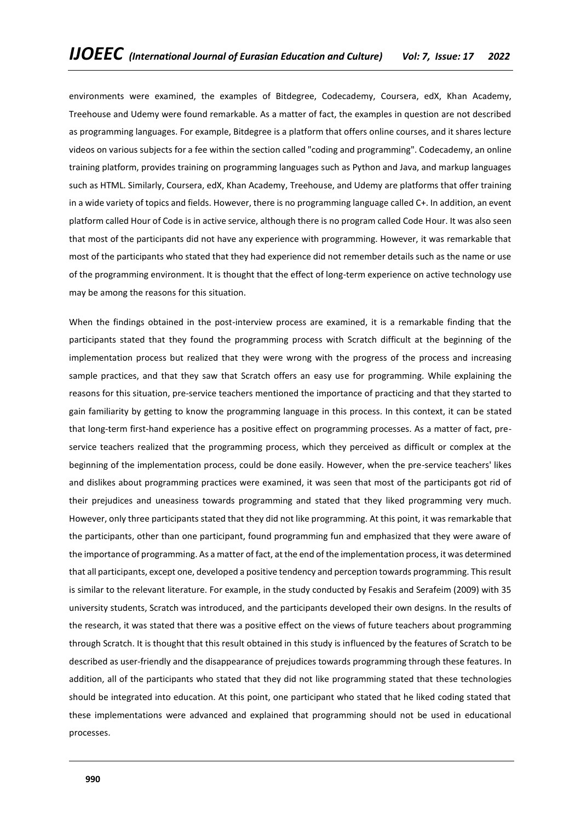environments were examined, the examples of Bitdegree, Codecademy, Coursera, edX, Khan Academy, Treehouse and Udemy were found remarkable. As a matter of fact, the examples in question are not described as programming languages. For example, Bitdegree is a platform that offers online courses, and it shares lecture videos on various subjects for a fee within the section called "coding and programming". Codecademy, an online training platform, provides training on programming languages such as Python and Java, and markup languages such as HTML. Similarly, Coursera, edX, Khan Academy, Treehouse, and Udemy are platforms that offer training in a wide variety of topics and fields. However, there is no programming language called C+. In addition, an event platform called Hour of Code is in active service, although there is no program called Code Hour. It was also seen that most of the participants did not have any experience with programming. However, it was remarkable that most of the participants who stated that they had experience did not remember details such as the name or use of the programming environment. It is thought that the effect of long-term experience on active technology use may be among the reasons for this situation.

When the findings obtained in the post-interview process are examined, it is a remarkable finding that the participants stated that they found the programming process with Scratch difficult at the beginning of the implementation process but realized that they were wrong with the progress of the process and increasing sample practices, and that they saw that Scratch offers an easy use for programming. While explaining the reasons for this situation, pre-service teachers mentioned the importance of practicing and that they started to gain familiarity by getting to know the programming language in this process. In this context, it can be stated that long-term first-hand experience has a positive effect on programming processes. As a matter of fact, preservice teachers realized that the programming process, which they perceived as difficult or complex at the beginning of the implementation process, could be done easily. However, when the pre-service teachers' likes and dislikes about programming practices were examined, it was seen that most of the participants got rid of their prejudices and uneasiness towards programming and stated that they liked programming very much. However, only three participants stated that they did not like programming. At this point, it was remarkable that the participants, other than one participant, found programming fun and emphasized that they were aware of the importance of programming. As a matter of fact, at the end of the implementation process, it was determined that all participants, except one, developed a positive tendency and perception towards programming. This result is similar to the relevant literature. For example, in the study conducted by Fesakis and Serafeim (2009) with 35 university students, Scratch was introduced, and the participants developed their own designs. In the results of the research, it was stated that there was a positive effect on the views of future teachers about programming through Scratch. It is thought that this result obtained in this study is influenced by the features of Scratch to be described as user-friendly and the disappearance of prejudices towards programming through these features. In addition, all of the participants who stated that they did not like programming stated that these technologies should be integrated into education. At this point, one participant who stated that he liked coding stated that these implementations were advanced and explained that programming should not be used in educational processes.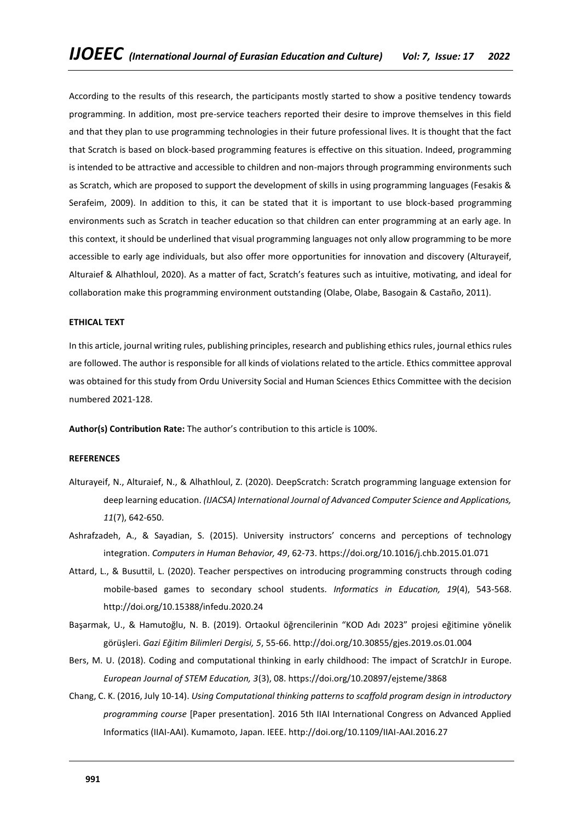According to the results of this research, the participants mostly started to show a positive tendency towards programming. In addition, most pre-service teachers reported their desire to improve themselves in this field and that they plan to use programming technologies in their future professional lives. It is thought that the fact that Scratch is based on block-based programming features is effective on this situation. Indeed, programming is intended to be attractive and accessible to children and non-majors through programming environments such as Scratch, which are proposed to support the development of skills in using programming languages (Fesakis & Serafeim, 2009). In addition to this, it can be stated that it is important to use block-based programming environments such as Scratch in teacher education so that children can enter programming at an early age. In this context, it should be underlined that visual programming languages not only allow programming to be more accessible to early age individuals, but also offer more opportunities for innovation and discovery (Alturayeif, Alturaief & Alhathloul, 2020). As a matter of fact, Scratch's features such as intuitive, motivating, and ideal for collaboration make this programming environment outstanding (Olabe, Olabe, Basogain & Castaño, 2011).

#### **ETHICAL TEXT**

In this article, journal writing rules, publishing principles, research and publishing ethics rules, journal ethics rules are followed. The author is responsible for all kinds of violations related to the article. Ethics committee approval was obtained for this study from Ordu University Social and Human Sciences Ethics Committee with the decision numbered 2021-128.

**Author(s) Contribution Rate:** The author's contribution to this article is 100%.

# **REFERENCES**

- Alturayeif, N., Alturaief, N., & Alhathloul, Z. (2020). DeepScratch: Scratch programming language extension for deep learning education. *(IJACSA) International Journal of Advanced Computer Science and Applications, 11*(7), 642-650.
- Ashrafzadeh, A., & Sayadian, S. (2015). University instructors' concerns and perceptions of technology integration. *Computers in Human Behavior, 49*, 62-73. https://doi.org/10.1016/j.chb.2015.01.071
- Attard, L., & Busuttil, L. (2020). Teacher perspectives on introducing programming constructs through coding mobile-based games to secondary school students*. Informatics in Education, 19*(4), 543-568. <http://doi.org/10.15388/infedu.2020.24>
- Başarmak, U., & Hamutoğlu, N. B. (2019). Ortaokul öğrencilerinin "KOD Adı 2023" projesi eğitimine yönelik görüşleri. *Gazi Eğitim Bilimleri Dergisi, 5*, 55-66. http://doi.org/10.30855/gjes.2019.os.01.004
- Bers, M. U. (2018). Coding and computational thinking in early childhood: The impact of ScratchJr in Europe. *European Journal of STEM Education, 3*(3), 08. https://doi.org/10.20897/ejsteme/3868
- Chang, C. K. (2016, July 10-14). *Using Computational thinking patterns to scaffold program design in introductory programming course* [Paper presentation]. 2016 5th IIAI International Congress on Advanced Applied Informatics (IIAI-AAI). Kumamoto, Japan. IEEE. http://doi.org/10.1109/IIAI-AAI.2016.27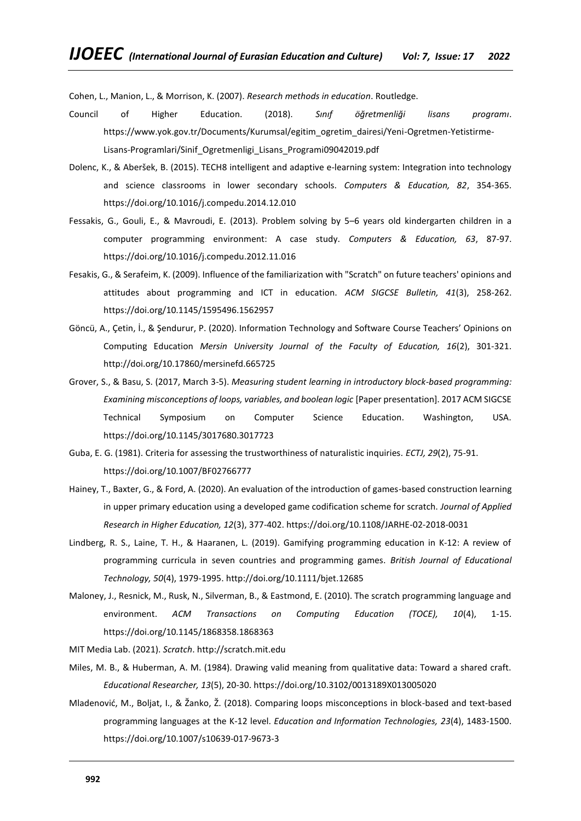Cohen, L., Manion, L., & Morrison, K. (2007). *Research methods in education*. Routledge.

- Council of Higher Education. (2018). *Sınıf öğretmenliği lisans programı*. https://www.yok.gov.tr/Documents/Kurumsal/egitim\_ogretim\_dairesi/Yeni-Ogretmen-Yetistirme-Lisans-Programlari/Sinif\_Ogretmenligi\_Lisans\_Programi09042019.pdf
- Dolenc, K., & Aberšek, B. (2015). TECH8 intelligent and adaptive e-learning system: Integration into technology and science classrooms in lower secondary schools. *Computers & Education, 82*, 354-365. https://doi.org/10.1016/j.compedu.2014.12.010
- Fessakis, G., Gouli, E., & Mavroudi, E. (2013). Problem solving by 5–6 years old kindergarten children in a computer programming environment: A case study. *Computers & Education, 63*, 87-97. https://doi.org/10.1016/j.compedu.2012.11.016
- Fesakis, G., & Serafeim, K. (2009). Influence of the familiarization with "Scratch" on future teachers' opinions and attitudes about programming and ICT in education. *ACM SIGCSE Bulletin, 41*(3), 258-262. https://doi.org/10.1145/1595496.1562957
- Göncü, A., Çetin, İ., & Şendurur, P. (2020). Information Technology and Software Course Teachers' Opinions on Computing Education *Mersin University Journal of the Faculty of Education, 16*(2), 301-321. http://doi.org/10.17860/mersinefd.665725
- Grover, S., & Basu, S. (2017, March 3-5). *Measuring student learning in introductory block-based programming: Examining misconceptions of loops, variables, and boolean logic* [Paper presentation]. 2017 ACM SIGCSE Technical Symposium on Computer Science Education. Washington, USA. https://doi.org/10.1145/3017680.3017723
- Guba, E. G. (1981). Criteria for assessing the trustworthiness of naturalistic inquiries. *ECTJ, 29*(2), 75-91. https://doi.org/10.1007/BF02766777
- Hainey, T., Baxter, G., & Ford, A. (2020). An evaluation of the introduction of games-based construction learning in upper primary education using a developed game codification scheme for scratch. *Journal of Applied Research in Higher Education, 12*(3), 377-402[. https://doi.org/10.1108/JARHE-02-2018-0031](https://doi.org/10.1108/JARHE-02-2018-0031)
- Lindberg, R. S., Laine, T. H., & Haaranen, L. (2019). Gamifying programming education in K‐12: A review of programming curricula in seven countries and programming games. *British Journal of Educational Technology, 50*(4), 1979-1995. http://doi.org/10.1111/bjet.12685
- Maloney, J., Resnick, M., Rusk, N., Silverman, B., & Eastmond, E. (2010). The scratch programming language and environment. *ACM Transactions on Computing Education (TOCE), 10*(4), 1-15. https://doi.org/10.1145/1868358.1868363

MIT Media Lab. (2021). *Scratch*. [http://scratch.mit.edu](http://scratch.mit.edu/)

- Miles, M. B., & Huberman, A. M. (1984). Drawing valid meaning from qualitative data: Toward a shared craft. *Educational Researcher, 13*(5), 20-30. https://doi.org/10.3102/0013189X013005020
- Mladenović, M., Boljat, I., & Žanko, Ž. (2018). Comparing loops misconceptions in block-based and text-based programming languages at the K-12 level. *Education and Information Technologies, 23*(4), 1483-1500. https://doi.org/10.1007/s10639-017-9673-3